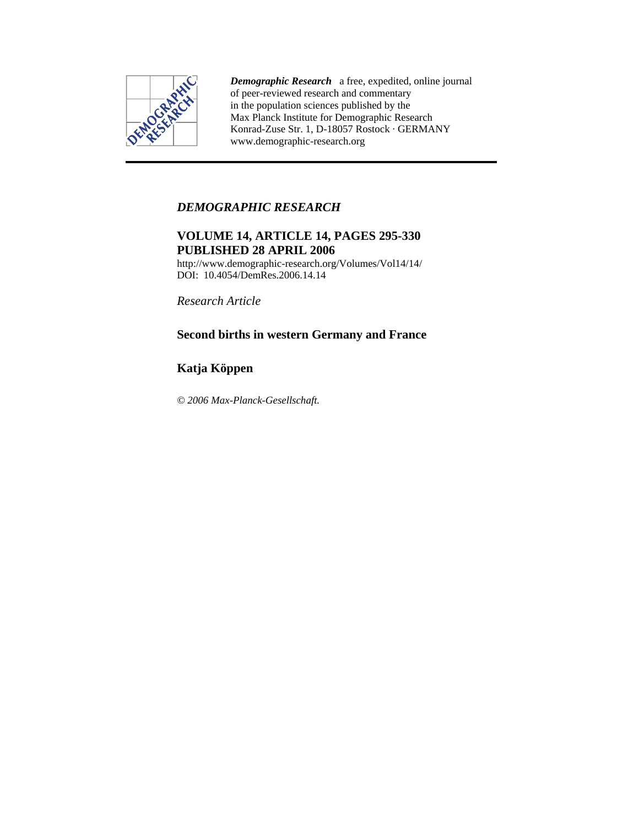

*Demographic Research* a free, expedited, online journal of peer-reviewed research and commentary in the population sciences published by the Max Planck Institute for Demographic Research Konrad-Zuse Str. 1, D-18057 Rostock · GERMANY www.demographic-research.org

# *DEMOGRAPHIC RESEARCH*

# **VOLUME 14, ARTICLE 14, PAGES 295-330 PUBLISHED 28 APRIL 2006**

http://www.demographic-research.org/Volumes/Vol14/14/ DOI: 10.4054/DemRes.2006.14.14

*Research Article* 

# **Second births in western Germany and France**

# **Katja Köppen**

*© 2006 Max-Planck-Gesellschaft.*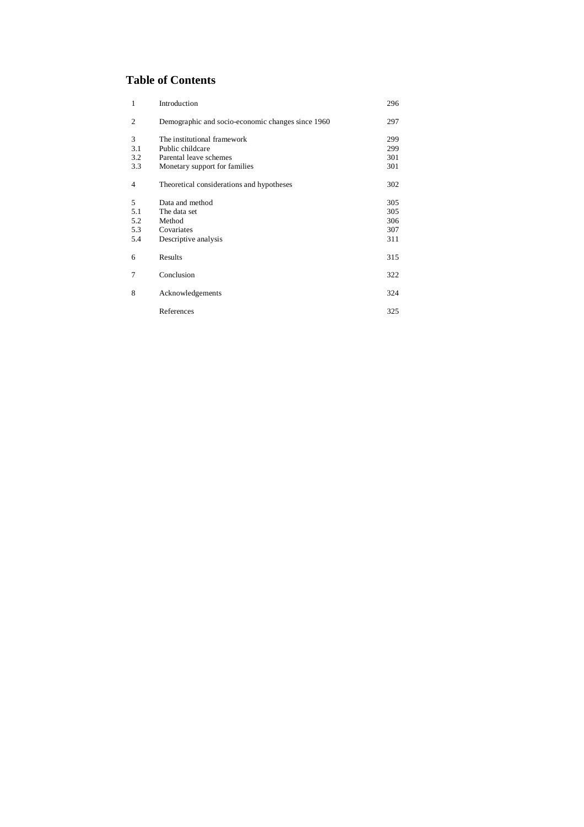# **Table of Contents**

| $\mathbf{1}$   | Introduction                                      | 296 |
|----------------|---------------------------------------------------|-----|
| $\overline{2}$ | Demographic and socio-economic changes since 1960 | 297 |
| 3              | The institutional framework                       | 299 |
| 3.1            | Public childcare                                  | 299 |
| 3.2            | Parental leave schemes                            | 301 |
| 3.3            | Monetary support for families                     | 301 |
| $\overline{4}$ | Theoretical considerations and hypotheses         | 302 |
| 5              | Data and method                                   | 305 |
| 5.1            | The data set                                      | 305 |
| 5.2            | Method                                            | 306 |
| 5.3            | Covariates                                        | 307 |
| 5.4            | Descriptive analysis                              | 311 |
| 6              | Results                                           | 315 |
| 7              | Conclusion                                        | 322 |
| 8              | Acknowledgements                                  | 324 |
|                | References                                        | 325 |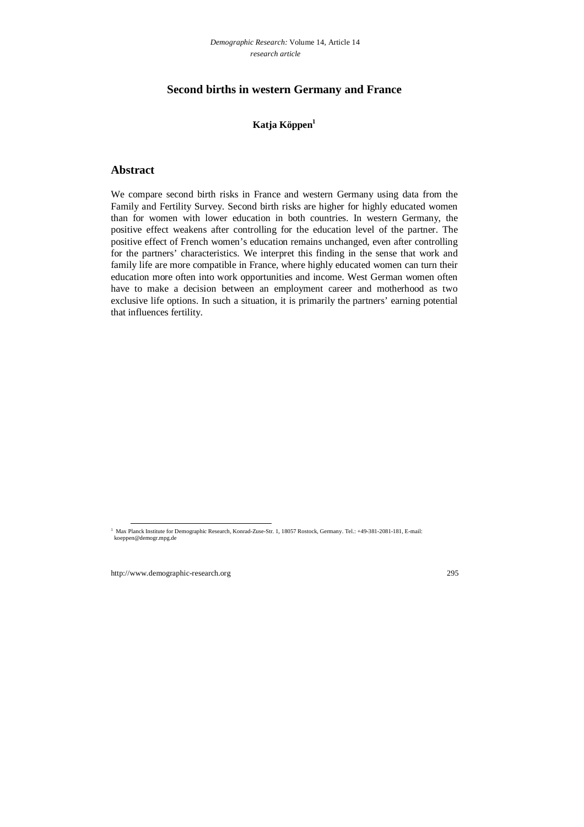# **Second births in western Germany and France**

# **Katja Köppen1**

# **Abstract**

We compare second birth risks in France and western Germany using data from the Family and Fertility Survey. Second birth risks are higher for highly educated women than for women with lower education in both countries. In western Germany, the positive effect weakens after controlling for the education level of the partner. The positive effect of French women's education remains unchanged, even after controlling for the partners' characteristics. We interpret this finding in the sense that work and family life are more compatible in France, where highly educated women can turn their education more often into work opportunities and income. West German women often have to make a decision between an employment career and motherhood as two exclusive life options. In such a situation, it is primarily the partners' earning potential that influences fertility.

 <sup>1</sup> Max Planck Institute for Demographic Research, Konrad-Zuse-Str. 1, 18057 Rostock, Germany. Tel.: +49-381-2081-181, E-mail: koeppen@demogr.mpg.de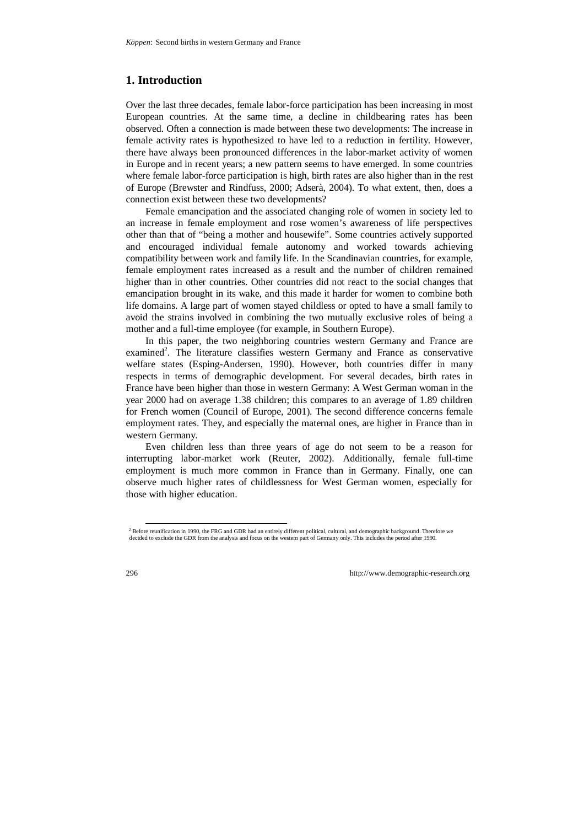# **1. Introduction**

Over the last three decades, female labor-force participation has been increasing in most European countries. At the same time, a decline in childbearing rates has been observed. Often a connection is made between these two developments: The increase in female activity rates is hypothesized to have led to a reduction in fertility. However, there have always been pronounced differences in the labor-market activity of women in Europe and in recent years; a new pattern seems to have emerged. In some countries where female labor-force participation is high, birth rates are also higher than in the rest of Europe (Brewster and Rindfuss, 2000; Adserà, 2004). To what extent, then, does a connection exist between these two developments?

Female emancipation and the associated changing role of women in society led to an increase in female employment and rose women's awareness of life perspectives other than that of "being a mother and housewife". Some countries actively supported and encouraged individual female autonomy and worked towards achieving compatibility between work and family life. In the Scandinavian countries, for example, female employment rates increased as a result and the number of children remained higher than in other countries. Other countries did not react to the social changes that emancipation brought in its wake, and this made it harder for women to combine both life domains. A large part of women stayed childless or opted to have a small family to avoid the strains involved in combining the two mutually exclusive roles of being a mother and a full-time employee (for example, in Southern Europe).

In this paper, the two neighboring countries western Germany and France are examined<sup>2</sup>. The literature classifies western Germany and France as conservative welfare states (Esping-Andersen, 1990). However, both countries differ in many respects in terms of demographic development. For several decades, birth rates in France have been higher than those in western Germany: A West German woman in the year 2000 had on average 1.38 children; this compares to an average of 1.89 children for French women (Council of Europe, 2001). The second difference concerns female employment rates. They, and especially the maternal ones, are higher in France than in western Germany.

Even children less than three years of age do not seem to be a reason for interrupting labor-market work (Reuter, 2002). Additionally, female full-time employment is much more common in France than in Germany. Finally, one can observe much higher rates of childlessness for West German women, especially for those with higher education.

<sup>&</sup>lt;sup>2</sup> Before reunification in 1990, the FRG and GDR had an entirely different political, cultural, and demographic background. Therefore we decided to exclude the GDR from the analysis and focus on the western part of Germany only. This includes the period after 1990.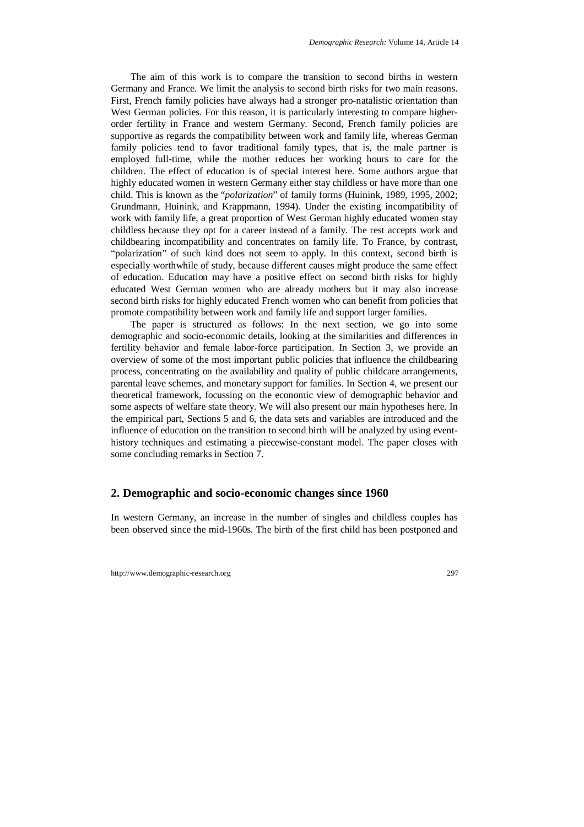The aim of this work is to compare the transition to second births in western Germany and France. We limit the analysis to second birth risks for two main reasons. First, French family policies have always had a stronger pro-natalistic orientation than West German policies. For this reason, it is particularly interesting to compare higherorder fertility in France and western Germany. Second, French family policies are supportive as regards the compatibility between work and family life, whereas German family policies tend to favor traditional family types, that is, the male partner is employed full-time, while the mother reduces her working hours to care for the children. The effect of education is of special interest here. Some authors argue that highly educated women in western Germany either stay childless or have more than one child. This is known as the "*polarization*" of family forms (Huinink, 1989, 1995, 2002; Grundmann, Huinink, and Krappmann, 1994). Under the existing incompatibility of work with family life, a great proportion of West German highly educated women stay childless because they opt for a career instead of a family. The rest accepts work and childbearing incompatibility and concentrates on family life. To France, by contrast, "polarization" of such kind does not seem to apply. In this context, second birth is especially worthwhile of study, because different causes might produce the same effect of education. Education may have a positive effect on second birth risks for highly educated West German women who are already mothers but it may also increase second birth risks for highly educated French women who can benefit from policies that promote compatibility between work and family life and support larger families.

The paper is structured as follows: In the next section, we go into some demographic and socio-economic details, looking at the similarities and differences in fertility behavior and female labor-force participation. In Section 3, we provide an overview of some of the most important public policies that influence the childbearing process, concentrating on the availability and quality of public childcare arrangements, parental leave schemes, and monetary support for families. In Section 4, we present our theoretical framework, focussing on the economic view of demographic behavior and some aspects of welfare state theory. We will also present our main hypotheses here. In the empirical part, Sections 5 and 6, the data sets and variables are introduced and the influence of education on the transition to second birth will be analyzed by using eventhistory techniques and estimating a piecewise-constant model. The paper closes with some concluding remarks in Section 7.

## **2. Demographic and socio-economic changes since 1960**

In western Germany, an increase in the number of singles and childless couples has been observed since the mid-1960s. The birth of the first child has been postponed and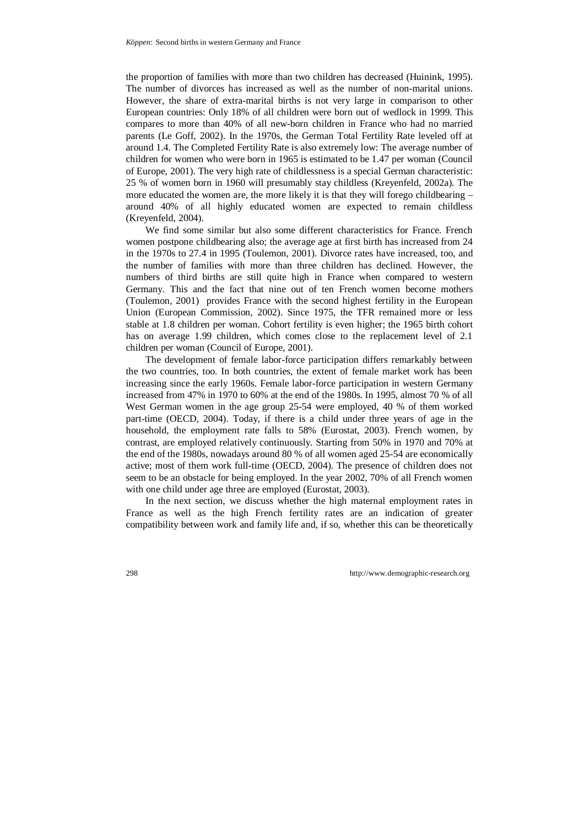the proportion of families with more than two children has decreased (Huinink, 1995). The number of divorces has increased as well as the number of non-marital unions. However, the share of extra-marital births is not very large in comparison to other European countries: Only 18% of all children were born out of wedlock in 1999. This compares to more than 40% of all new-born children in France who had no married parents (Le Goff, 2002). In the 1970s, the German Total Fertility Rate leveled off at around 1.4. The Completed Fertility Rate is also extremely low: The average number of children for women who were born in 1965 is estimated to be 1.47 per woman (Council of Europe, 2001). The very high rate of childlessness is a special German characteristic: 25 % of women born in 1960 will presumably stay childless (Kreyenfeld, 2002a). The more educated the women are, the more likely it is that they will forego childbearing  $$ around 40% of all highly educated women are expected to remain childless (Kreyenfeld, 2004).

We find some similar but also some different characteristics for France. French women postpone childbearing also; the average age at first birth has increased from 24 in the 1970s to 27.4 in 1995 (Toulemon, 2001). Divorce rates have increased, too, and the number of families with more than three children has declined. However, the numbers of third births are still quite high in France when compared to western Germany. This and the fact that nine out of ten French women become mothers (Toulemon, 2001) provides France with the second highest fertility in the European Union (European Commission, 2002). Since 1975, the TFR remained more or less stable at 1.8 children per woman. Cohort fertility is even higher; the 1965 birth cohort has on average 1.99 children, which comes close to the replacement level of 2.1 children per woman (Council of Europe, 2001).

The development of female labor-force participation differs remarkably between the two countries, too. In both countries, the extent of female market work has been increasing since the early 1960s. Female labor-force participation in western Germany increased from 47% in 1970 to 60% at the end of the 1980s. In 1995, almost 70 % of all West German women in the age group 25-54 were employed, 40 % of them worked part-time (OECD, 2004). Today, if there is a child under three years of age in the household, the employment rate falls to 58% (Eurostat, 2003). French women, by contrast, are employed relatively continuously. Starting from 50% in 1970 and 70% at the end of the 1980s, nowadays around 80 % of all women aged 25-54 are economically active; most of them work full-time (OECD, 2004). The presence of children does not seem to be an obstacle for being employed. In the year 2002, 70% of all French women with one child under age three are employed (Eurostat, 2003).

In the next section, we discuss whether the high maternal employment rates in France as well as the high French fertility rates are an indication of greater compatibility between work and family life and, if so, whether this can be theoretically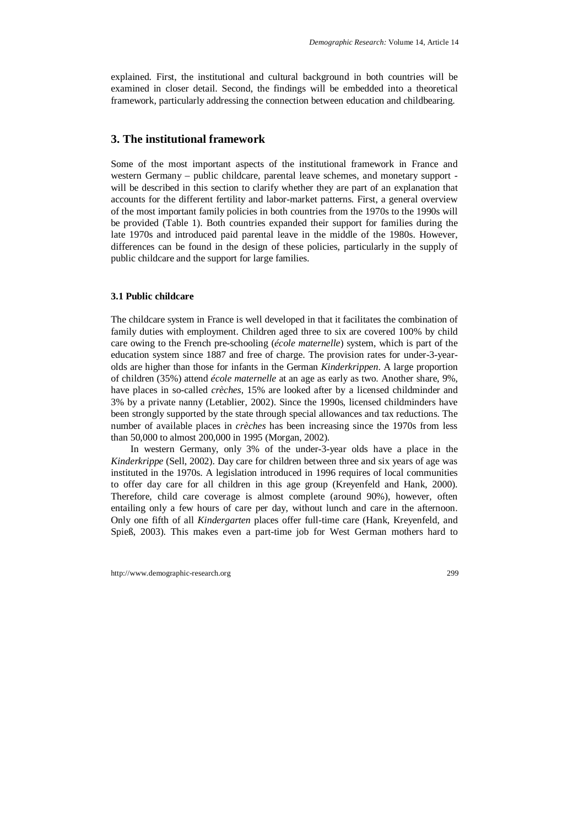explained. First, the institutional and cultural background in both countries will be examined in closer detail. Second, the findings will be embedded into a theoretical framework, particularly addressing the connection between education and childbearing.

# **3. The institutional framework**

Some of the most important aspects of the institutional framework in France and western Germany – public childcare, parental leave schemes, and monetary support will be described in this section to clarify whether they are part of an explanation that accounts for the different fertility and labor-market patterns. First, a general overview of the most important family policies in both countries from the 1970s to the 1990s will be provided (Table 1). Both countries expanded their support for families during the late 1970s and introduced paid parental leave in the middle of the 1980s. However, differences can be found in the design of these policies, particularly in the supply of public childcare and the support for large families.

### **3.1 Public childcare**

The childcare system in France is well developed in that it facilitates the combination of family duties with employment. Children aged three to six are covered 100% by child care owing to the French pre-schooling (*école maternelle*) system, which is part of the education system since 1887 and free of charge. The provision rates for under-3-yearolds are higher than those for infants in the German *Kinderkrippen*. A large proportion of children (35%) attend *école maternelle* at an age as early as two. Another share, 9%, have places in so-called *crèches*, 15% are looked after by a licensed childminder and 3% by a private nanny (Letablier, 2002). Since the 1990s, licensed childminders have been strongly supported by the state through special allowances and tax reductions. The number of available places in *crèches* has been increasing since the 1970s from less than 50,000 to almost 200,000 in 1995 (Morgan, 2002).

In western Germany, only 3% of the under-3-year olds have a place in the *Kinderkrippe* (Sell, 2002). Day care for children between three and six years of age was instituted in the 1970s. A legislation introduced in 1996 requires of local communities to offer day care for all children in this age group (Kreyenfeld and Hank, 2000). Therefore, child care coverage is almost complete (around 90%), however, often entailing only a few hours of care per day, without lunch and care in the afternoon. Only one fifth of all *Kindergarten* places offer full-time care (Hank, Kreyenfeld, and Spieß, 2003). This makes even a part-time job for West German mothers hard to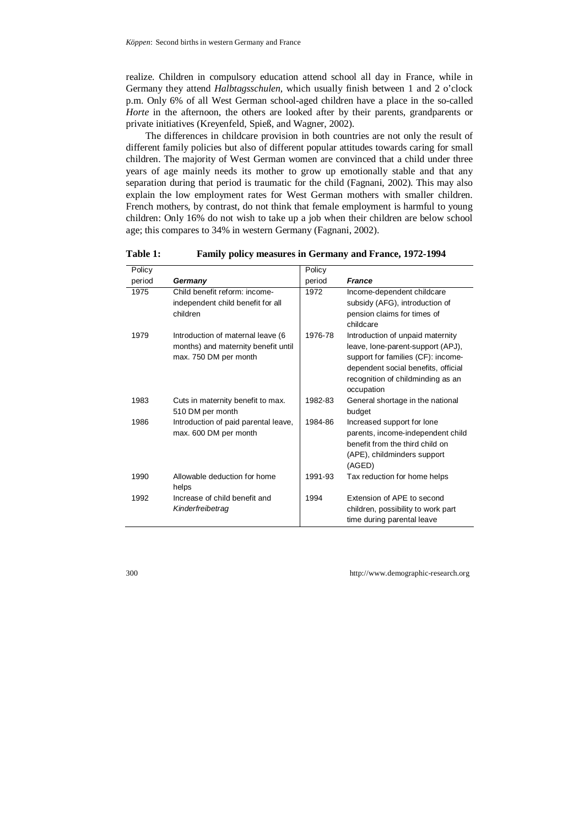realize. Children in compulsory education attend school all day in France, while in Germany they attend *Halbtagsschulen,* which usually finish between 1 and 2 o'clock p.m. Only 6% of all West German school-aged children have a place in the so-called *Horte* in the afternoon, the others are looked after by their parents, grandparents or private initiatives (Kreyenfeld, Spieß, and Wagner, 2002).

The differences in childcare provision in both countries are not only the result of different family policies but also of different popular attitudes towards caring for small children. The majority of West German women are convinced that a child under three years of age mainly needs its mother to grow up emotionally stable and that any separation during that period is traumatic for the child (Fagnani, 2002). This may also explain the low employment rates for West German mothers with smaller children. French mothers, by contrast, do not think that female employment is harmful to young children: Only 16% do not wish to take up a job when their children are below school age; this compares to 34% in western Germany (Fagnani, 2002).

| Policy |                                                                                                   | Policy  |                                                                                                                                                                                                       |
|--------|---------------------------------------------------------------------------------------------------|---------|-------------------------------------------------------------------------------------------------------------------------------------------------------------------------------------------------------|
| period | Germany                                                                                           | period  | <b>France</b>                                                                                                                                                                                         |
| 1975   | Child benefit reform: income-<br>independent child benefit for all<br>children                    | 1972    | Income-dependent childcare<br>subsidy (AFG), introduction of<br>pension claims for times of<br>childcare                                                                                              |
| 1979   | Introduction of maternal leave (6<br>months) and maternity benefit until<br>max. 750 DM per month | 1976-78 | Introduction of unpaid maternity<br>leave, lone-parent-support (APJ),<br>support for families (CF): income-<br>dependent social benefits, official<br>recognition of childminding as an<br>occupation |
| 1983   | Cuts in maternity benefit to max.<br>510 DM per month                                             | 1982-83 | General shortage in the national<br>budget                                                                                                                                                            |
| 1986   | Introduction of paid parental leave,<br>max. 600 DM per month                                     | 1984-86 | Increased support for lone<br>parents, income-independent child<br>benefit from the third child on<br>(APE), childminders support<br>(AGED)                                                           |
| 1990   | Allowable deduction for home<br>helps                                                             | 1991-93 | Tax reduction for home helps                                                                                                                                                                          |
| 1992   | Increase of child benefit and<br>Kinderfreibetrag                                                 | 1994    | Extension of APE to second<br>children, possibility to work part<br>time during parental leave                                                                                                        |

**Table 1: Family policy measures in Germany and France, 1972-1994**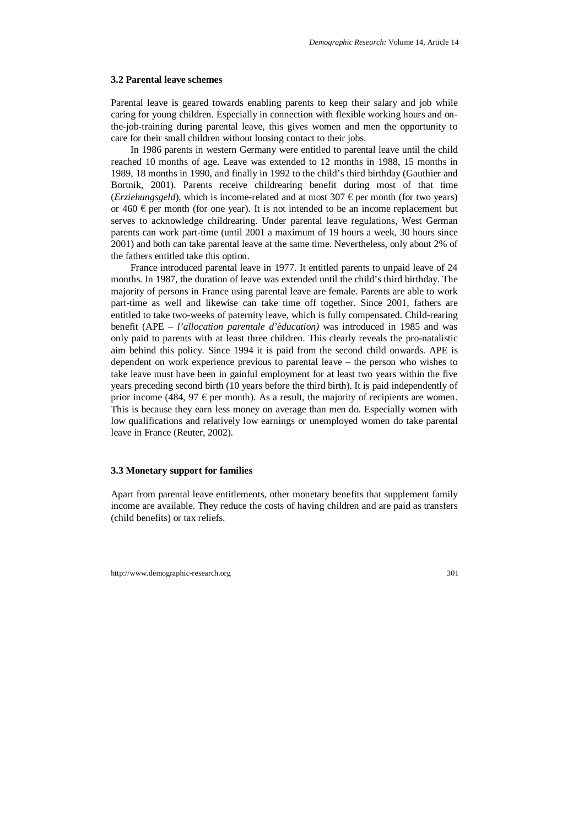#### **3.2 Parental leave schemes**

Parental leave is geared towards enabling parents to keep their salary and job while caring for young children. Especially in connection with flexible working hours and onthe-job-training during parental leave, this gives women and men the opportunity to care for their small children without loosing contact to their jobs.

In 1986 parents in western Germany were entitled to parental leave until the child reached 10 months of age. Leave was extended to 12 months in 1988, 15 months in 1989, 18 months in 1990, and finally in 1992 to the child's third birthday (Gauthier and Bortnik, 2001). Parents receive childrearing benefit during most of that time (*Erziehungsgeld*), which is income-related and at most  $307 \epsilon$  per month (for two years) or 460  $\epsilon$  per month (for one year). It is not intended to be an income replacement but serves to acknowledge childrearing. Under parental leave regulations, West German parents can work part-time (until 2001 a maximum of 19 hours a week, 30 hours since 2001) and both can take parental leave at the same time. Nevertheless, only about 2% of the fathers entitled take this option.

France introduced parental leave in 1977. It entitled parents to unpaid leave of 24 months. In 1987, the duration of leave was extended until the child's third birthday. The majority of persons in France using parental leave are female. Parents are able to work part-time as well and likewise can take time off together. Since 2001, fathers are entitled to take two-weeks of paternity leave, which is fully compensated. Child-rearing benefit (APE – *l'allocation parentale d'èducation)* was introduced in 1985 and was only paid to parents with at least three children. This clearly reveals the pro-natalistic aim behind this policy. Since 1994 it is paid from the second child onwards. APE is dependent on work experience previous to parental leave – the person who wishes to take leave must have been in gainful employment for at least two years within the five years preceding second birth (10 years before the third birth). It is paid independently of prior income (484, 97  $\epsilon$  per month). As a result, the majority of recipients are women. This is because they earn less money on average than men do. Especially women with low qualifications and relatively low earnings or unemployed women do take parental leave in France (Reuter, 2002).

#### **3.3 Monetary support for families**

Apart from parental leave entitlements, other monetary benefits that supplement family income are available. They reduce the costs of having children and are paid as transfers (child benefits) or tax reliefs.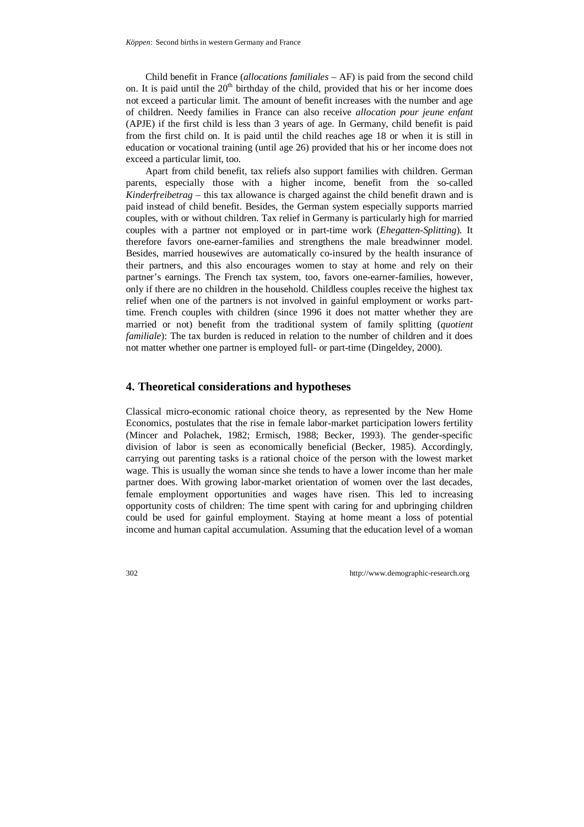Child benefit in France (*allocations familiales* – AF) is paid from the second child on. It is paid until the  $20<sup>th</sup>$  birthday of the child, provided that his or her income does not exceed a particular limit. The amount of benefit increases with the number and age of children. Needy families in France can also receive *allocation pour jeune enfant* (APJE) if the first child is less than 3 years of age. In Germany, child benefit is paid from the first child on. It is paid until the child reaches age 18 or when it is still in education or vocational training (until age 26) provided that his or her income does not exceed a particular limit, too.

Apart from child benefit, tax reliefs also support families with children. German parents, especially those with a higher income, benefit from the so-called *Kinderfreibetrag* – this tax allowance is charged against the child benefit drawn and is paid instead of child benefit. Besides, the German system especially supports married couples, with or without children. Tax relief in Germany is particularly high for married couples with a partner not employed or in part-time work (*Ehegatten-Splitting*). It therefore favors one-earner-families and strengthens the male breadwinner model. Besides, married housewives are automatically co-insured by the health insurance of their partners, and this also encourages women to stay at home and rely on their partner's earnings. The French tax system, too, favors one-earner-families, however, only if there are no children in the household. Childless couples receive the highest tax relief when one of the partners is not involved in gainful employment or works parttime. French couples with children (since 1996 it does not matter whether they are married or not) benefit from the traditional system of family splitting (*quotient familiale*): The tax burden is reduced in relation to the number of children and it does not matter whether one partner is employed full- or part-time (Dingeldey, 2000).

# **4. Theoretical considerations and hypotheses**

Classical micro-economic rational choice theory, as represented by the New Home Economics, postulates that the rise in female labor-market participation lowers fertility (Mincer and Polachek, 1982; Ermisch, 1988; Becker, 1993). The gender-specific division of labor is seen as economically beneficial (Becker, 1985). Accordingly, carrying out parenting tasks is a rational choice of the person with the lowest market wage. This is usually the woman since she tends to have a lower income than her male partner does. With growing labor-market orientation of women over the last decades, female employment opportunities and wages have risen. This led to increasing opportunity costs of children: The time spent with caring for and upbringing children could be used for gainful employment. Staying at home meant a loss of potential income and human capital accumulation. Assuming that the education level of a woman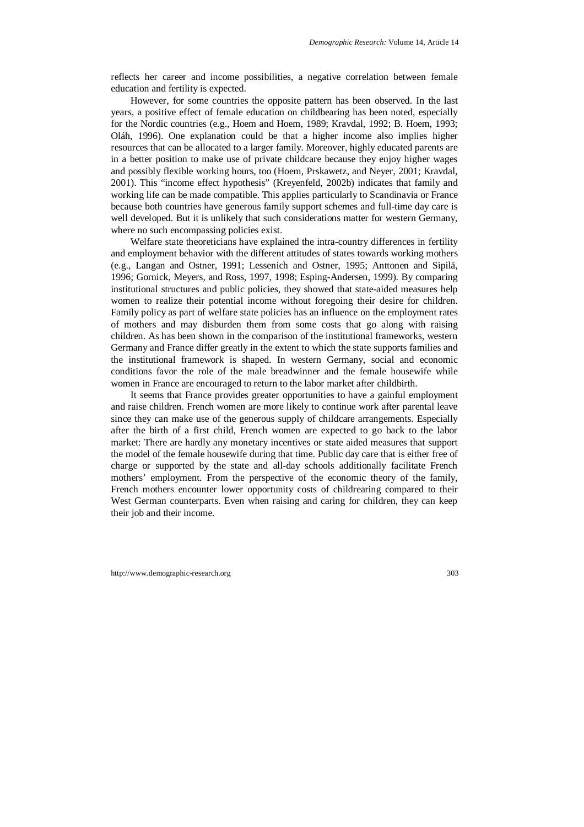reflects her career and income possibilities, a negative correlation between female education and fertility is expected.

However, for some countries the opposite pattern has been observed. In the last years, a positive effect of female education on childbearing has been noted, especially for the Nordic countries (e.g., Hoem and Hoem, 1989; Kravdal, 1992; B. Hoem, 1993; Oláh, 1996). One explanation could be that a higher income also implies higher resources that can be allocated to a larger family. Moreover, highly educated parents are in a better position to make use of private childcare because they enjoy higher wages and possibly flexible working hours, too (Hoem, Prskawetz, and Neyer, 2001; Kravdal, 2001). This "income effect hypothesis" (Kreyenfeld, 2002b) indicates that family and working life can be made compatible. This applies particularly to Scandinavia or France because both countries have generous family support schemes and full-time day care is well developed. But it is unlikely that such considerations matter for western Germany, where no such encompassing policies exist.

Welfare state theoreticians have explained the intra-country differences in fertility and employment behavior with the different attitudes of states towards working mothers (e.g., Langan and Ostner, 1991; Lessenich and Ostner, 1995; Anttonen and Sipilä, 1996; Gornick, Meyers, and Ross, 1997, 1998; Esping-Andersen, 1999). By comparing institutional structures and public policies, they showed that state-aided measures help women to realize their potential income without foregoing their desire for children. Family policy as part of welfare state policies has an influence on the employment rates of mothers and may disburden them from some costs that go along with raising children. As has been shown in the comparison of the institutional frameworks, western Germany and France differ greatly in the extent to which the state supports families and the institutional framework is shaped. In western Germany, social and economic conditions favor the role of the male breadwinner and the female housewife while women in France are encouraged to return to the labor market after childbirth.

It seems that France provides greater opportunities to have a gainful employment and raise children. French women are more likely to continue work after parental leave since they can make use of the generous supply of childcare arrangements. Especially after the birth of a first child, French women are expected to go back to the labor market: There are hardly any monetary incentives or state aided measures that support the model of the female housewife during that time. Public day care that is either free of charge or supported by the state and all-day schools additionally facilitate French mothers' employment. From the perspective of the economic theory of the family, French mothers encounter lower opportunity costs of childrearing compared to their West German counterparts. Even when raising and caring for children, they can keep their job and their income.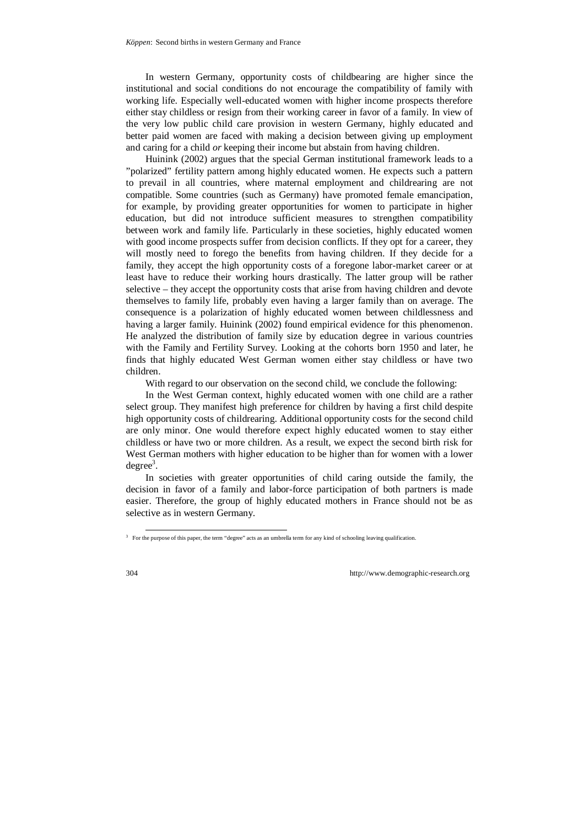In western Germany, opportunity costs of childbearing are higher since the institutional and social conditions do not encourage the compatibility of family with working life. Especially well-educated women with higher income prospects therefore either stay childless or resign from their working career in favor of a family. In view of the very low public child care provision in western Germany, highly educated and better paid women are faced with making a decision between giving up employment and caring for a child *or* keeping their income but abstain from having children.

Huinink (2002) argues that the special German institutional framework leads to a "polarized" fertility pattern among highly educated women. He expects such a pattern to prevail in all countries, where maternal employment and childrearing are not compatible. Some countries (such as Germany) have promoted female emancipation, for example, by providing greater opportunities for women to participate in higher education, but did not introduce sufficient measures to strengthen compatibility between work and family life. Particularly in these societies, highly educated women with good income prospects suffer from decision conflicts. If they opt for a career, they will mostly need to forego the benefits from having children. If they decide for a family, they accept the high opportunity costs of a foregone labor-market career or at least have to reduce their working hours drastically. The latter group will be rather selective – they accept the opportunity costs that arise from having children and devote themselves to family life, probably even having a larger family than on average. The consequence is a polarization of highly educated women between childlessness and having a larger family. Huinink (2002) found empirical evidence for this phenomenon. He analyzed the distribution of family size by education degree in various countries with the Family and Fertility Survey. Looking at the cohorts born 1950 and later, he finds that highly educated West German women either stay childless or have two children.

With regard to our observation on the second child, we conclude the following:

In the West German context, highly educated women with one child are a rather select group. They manifest high preference for children by having a first child despite high opportunity costs of childrearing. Additional opportunity costs for the second child are only minor. One would therefore expect highly educated women to stay either childless or have two or more children. As a result, we expect the second birth risk for West German mothers with higher education to be higher than for women with a lower  $degree<sup>3</sup>$ .

In societies with greater opportunities of child caring outside the family, the decision in favor of a family and labor-force participation of both partners is made easier. Therefore, the group of highly educated mothers in France should not be as selective as in western Germany.

 <sup>3</sup> For the purpose of this paper, the term "degree" acts as an umbrella term for any kind of schooling leaving qualification.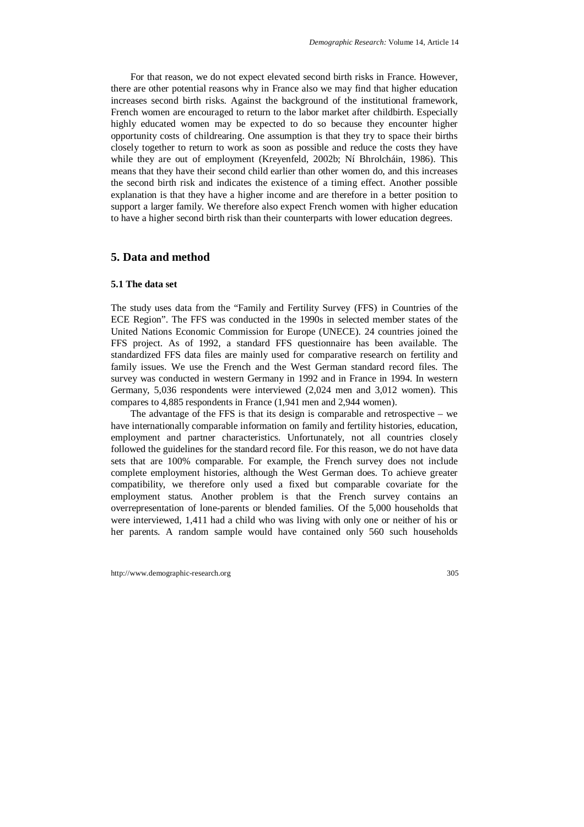For that reason, we do not expect elevated second birth risks in France. However, there are other potential reasons why in France also we may find that higher education increases second birth risks. Against the background of the institutional framework, French women are encouraged to return to the labor market after childbirth. Especially highly educated women may be expected to do so because they encounter higher opportunity costs of childrearing. One assumption is that they try to space their births closely together to return to work as soon as possible and reduce the costs they have while they are out of employment (Kreyenfeld, 2002b; Ní Bhrolcháin, 1986). This means that they have their second child earlier than other women do, and this increases the second birth risk and indicates the existence of a timing effect. Another possible explanation is that they have a higher income and are therefore in a better position to support a larger family. We therefore also expect French women with higher education to have a higher second birth risk than their counterparts with lower education degrees.

# **5. Data and method**

#### **5.1 The data set**

The study uses data from the "Family and Fertility Survey (FFS) in Countries of the ECE Region". The FFS was conducted in the 1990s in selected member states of the United Nations Economic Commission for Europe (UNECE). 24 countries joined the FFS project. As of 1992, a standard FFS questionnaire has been available. The standardized FFS data files are mainly used for comparative research on fertility and family issues. We use the French and the West German standard record files. The survey was conducted in western Germany in 1992 and in France in 1994. In western Germany, 5,036 respondents were interviewed (2,024 men and 3,012 women). This compares to 4,885 respondents in France (1,941 men and 2,944 women).

The advantage of the FFS is that its design is comparable and retrospective – we have internationally comparable information on family and fertility histories, education, employment and partner characteristics. Unfortunately, not all countries closely followed the guidelines for the standard record file. For this reason, we do not have data sets that are 100% comparable. For example, the French survey does not include complete employment histories, although the West German does. To achieve greater compatibility, we therefore only used a fixed but comparable covariate for the employment status. Another problem is that the French survey contains an overrepresentation of lone-parents or blended families. Of the 5,000 households that were interviewed, 1,411 had a child who was living with only one or neither of his or her parents. A random sample would have contained only 560 such households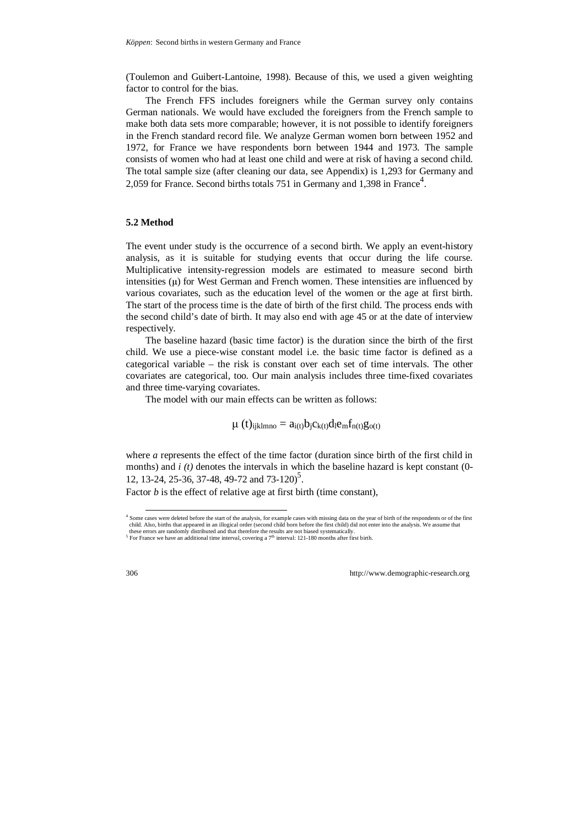(Toulemon and Guibert-Lantoine, 1998). Because of this, we used a given weighting factor to control for the bias.

The French FFS includes foreigners while the German survey only contains German nationals. We would have excluded the foreigners from the French sample to make both data sets more comparable; however, it is not possible to identify foreigners in the French standard record file. We analyze German women born between 1952 and 1972, for France we have respondents born between 1944 and 1973. The sample consists of women who had at least one child and were at risk of having a second child. The total sample size (after cleaning our data, see Appendix) is 1,293 for Germany and 2,059 for France. Second births totals 751 in Germany and 1,398 in France<sup>4</sup>.

#### **5.2 Method**

The event under study is the occurrence of a second birth. We apply an event-history analysis, as it is suitable for studying events that occur during the life course. Multiplicative intensity-regression models are estimated to measure second birth intensities  $(\mu)$  for West German and French women. These intensities are influenced by various covariates, such as the education level of the women or the age at first birth. The start of the process time is the date of birth of the first child. The process ends with the second child's date of birth. It may also end with age 45 or at the date of interview respectively.

The baseline hazard (basic time factor) is the duration since the birth of the first child. We use a piece-wise constant model i.e. the basic time factor is defined as a categorical variable – the risk is constant over each set of time intervals. The other covariates are categorical, too. Our main analysis includes three time-fixed covariates and three time-varying covariates.

The model with our main effects can be written as follows:

$$
\mu\ (t)_{ijklmno}=a_{i(t)}b_jc_{k(t)}d_l e_m f_{n(t)}g_{o(t)}
$$

where *a* represents the effect of the time factor (duration since birth of the first child in months) and *i (t)* denotes the intervals in which the baseline hazard is kept constant (0-12, 13-24, 25-36, 37-48, 49-72 and  $73-120$ <sup>5</sup>.

Factor *b* is the effect of relative age at first birth (time constant),

 <sup>4</sup> Some cases were deleted before the start of the analysis, for example cases with missing data on the year of birth of the respondents or of the first child. Also, births that appeared in an illogical order (second child born before the first child) did not enter into the analysis. We assume that these errors are randomly distributed and that therefore the results are not biased systematically.

<sup>&</sup>lt;sup>5</sup> For France we have an additional time interval, covering a 7<sup>th</sup> interval: 121-180 months after first birth.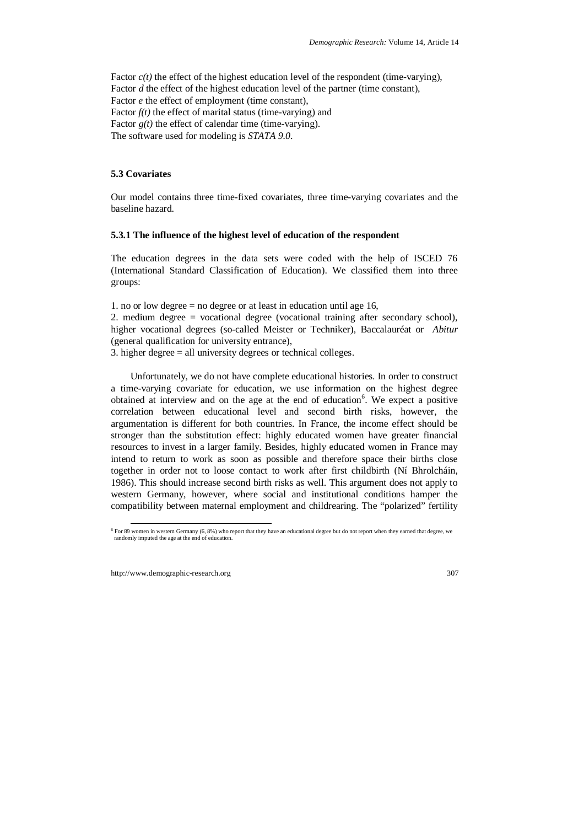Factor  $c(t)$  the effect of the highest education level of the respondent (time-varying), Factor *d* the effect of the highest education level of the partner (time constant), Factor *e* the effect of employment (time constant), Factor  $f(t)$  the effect of marital status (time-varying) and Factor  $g(t)$  the effect of calendar time (time-varying). The software used for modeling is *STATA 9.0*.

## **5.3 Covariates**

Our model contains three time-fixed covariates, three time-varying covariates and the baseline hazard.

## **5.3.1 The influence of the highest level of education of the respondent**

The education degrees in the data sets were coded with the help of ISCED 76 (International Standard Classification of Education). We classified them into three groups:

1. no or low degree  $=$  no degree or at least in education until age 16,

2. medium degree = vocational degree (vocational training after secondary school), higher vocational degrees (so-called Meister or Techniker), Baccalauréat or *Abitur* (general qualification for university entrance),

3. higher degree = all university degrees or technical colleges.

Unfortunately, we do not have complete educational histories. In order to construct a time-varying covariate for education, we use information on the highest degree obtained at interview and on the age at the end of education<sup>6</sup>. We expect a positive correlation between educational level and second birth risks, however, the argumentation is different for both countries. In France, the income effect should be stronger than the substitution effect: highly educated women have greater financial resources to invest in a larger family. Besides, highly educated women in France may intend to return to work as soon as possible and therefore space their births close together in order not to loose contact to work after first childbirth (Ní Bhrolcháin, 1986). This should increase second birth risks as well. This argument does not apply to western Germany, however, where social and institutional conditions hamper the compatibility between maternal employment and childrearing. The "polarized" fertility

 <sup>6</sup> For 89 women in western Germany (6, 8%) who report that they have an educational degree but do not report when they earned that degree, we randomly imputed the age at the end of education.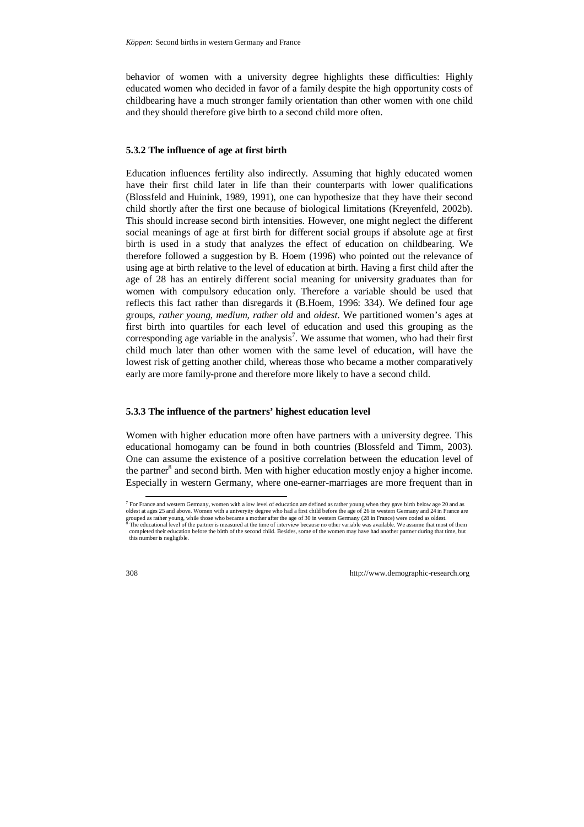behavior of women with a university degree highlights these difficulties: Highly educated women who decided in favor of a family despite the high opportunity costs of childbearing have a much stronger family orientation than other women with one child and they should therefore give birth to a second child more often.

#### **5.3.2 The influence of age at first birth**

Education influences fertility also indirectly. Assuming that highly educated women have their first child later in life than their counterparts with lower qualifications (Blossfeld and Huinink, 1989, 1991), one can hypothesize that they have their second child shortly after the first one because of biological limitations (Kreyenfeld, 2002b). This should increase second birth intensities. However, one might neglect the different social meanings of age at first birth for different social groups if absolute age at first birth is used in a study that analyzes the effect of education on childbearing. We therefore followed a suggestion by B. Hoem (1996) who pointed out the relevance of using age at birth relative to the level of education at birth. Having a first child after the age of 28 has an entirely different social meaning for university graduates than for women with compulsory education only. Therefore a variable should be used that reflects this fact rather than disregards it (B.Hoem, 1996: 334). We defined four age groups, *rather young*, *medium*, *rather old* and *oldest*. We partitioned women's ages at first birth into quartiles for each level of education and used this grouping as the corresponding age variable in the analysis<sup>7</sup>. We assume that women, who had their first child much later than other women with the same level of education, will have the lowest risk of getting another child, whereas those who became a mother comparatively early are more family-prone and therefore more likely to have a second child.

### **5.3.3 The influence of the partners' highest education level**

Women with higher education more often have partners with a university degree. This educational homogamy can be found in both countries (Blossfeld and Timm, 2003). One can assume the existence of a positive correlation between the education level of the partner<sup>8</sup> and second birth. Men with higher education mostly enjoy a higher income. Especially in western Germany, where one-earner-marriages are more frequent than in

 <sup>7</sup> For France and western Germany, women with a low level of education are defined as rather young when they gave birth below age 20 and as oldest at ages 25 and above. Women with a univeryity degree who had a first child before the age of 26 in western Germany and 24 in France are grouped as rather young, while those who became a mother after the age of 30 in western Germany (28 in France) were coded as oldest.

The educational level of the partner is measured at the time of interview because no other variable was available. We assume that most of them completed their education before the birth of the second child. Besides, some of the women may have had another partner during that time, but this number is negligible.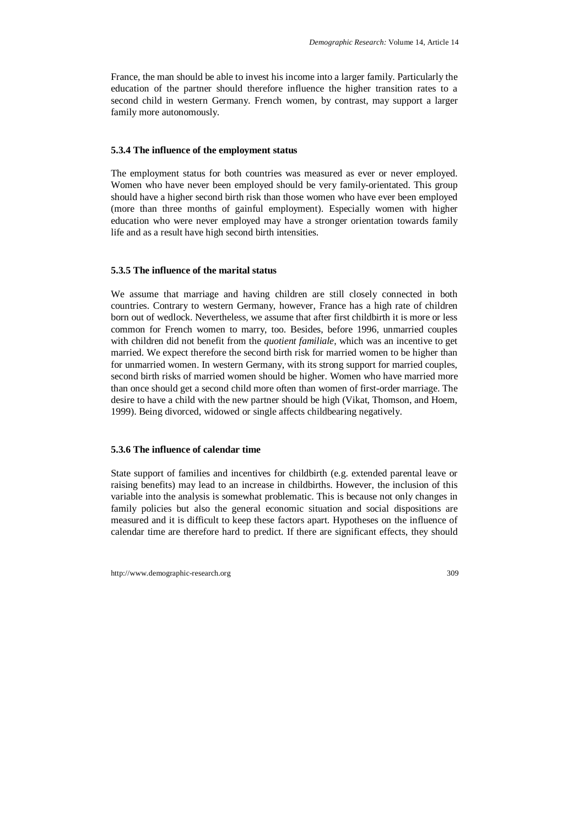France, the man should be able to invest his income into a larger family. Particularly the education of the partner should therefore influence the higher transition rates to a second child in western Germany. French women, by contrast, may support a larger family more autonomously.

#### **5.3.4 The influence of the employment status**

The employment status for both countries was measured as ever or never employed. Women who have never been employed should be very family-orientated. This group should have a higher second birth risk than those women who have ever been employed (more than three months of gainful employment). Especially women with higher education who were never employed may have a stronger orientation towards family life and as a result have high second birth intensities.

#### **5.3.5 The influence of the marital status**

We assume that marriage and having children are still closely connected in both countries. Contrary to western Germany, however, France has a high rate of children born out of wedlock. Nevertheless, we assume that after first childbirth it is more or less common for French women to marry, too. Besides, before 1996, unmarried couples with children did not benefit from the *quotient familiale*, which was an incentive to get married. We expect therefore the second birth risk for married women to be higher than for unmarried women. In western Germany, with its strong support for married couples, second birth risks of married women should be higher. Women who have married more than once should get a second child more often than women of first-order marriage. The desire to have a child with the new partner should be high (Vikat, Thomson, and Hoem, 1999). Being divorced, widowed or single affects childbearing negatively.

#### **5.3.6 The influence of calendar time**

State support of families and incentives for childbirth (e.g. extended parental leave or raising benefits) may lead to an increase in childbirths. However, the inclusion of this variable into the analysis is somewhat problematic. This is because not only changes in family policies but also the general economic situation and social dispositions are measured and it is difficult to keep these factors apart. Hypotheses on the influence of calendar time are therefore hard to predict. If there are significant effects, they should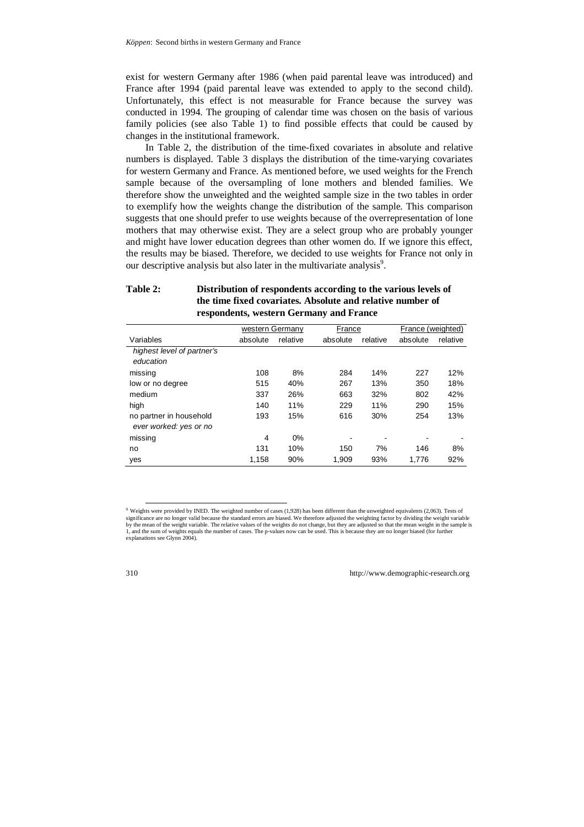exist for western Germany after 1986 (when paid parental leave was introduced) and France after 1994 (paid parental leave was extended to apply to the second child). Unfortunately, this effect is not measurable for France because the survey was conducted in 1994. The grouping of calendar time was chosen on the basis of various family policies (see also Table 1) to find possible effects that could be caused by changes in the institutional framework.

In Table 2, the distribution of the time-fixed covariates in absolute and relative numbers is displayed. Table 3 displays the distribution of the time-varying covariates for western Germany and France. As mentioned before, we used weights for the French sample because of the oversampling of lone mothers and blended families. We therefore show the unweighted and the weighted sample size in the two tables in order to exemplify how the weights change the distribution of the sample. This comparison suggests that one should prefer to use weights because of the overrepresentation of lone mothers that may otherwise exist. They are a select group who are probably younger and might have lower education degrees than other women do. If we ignore this effect, the results may be biased. Therefore, we decided to use weights for France not only in our descriptive analysis but also later in the multivariate analysis<sup>9</sup>.

### **Table 2: Distribution of respondents according to the various levels of the time fixed covariates. Absolute and relative number of respondents, western Germany and France**

|                                                   | western Germany |          | France   |          | France (weighted) |          |
|---------------------------------------------------|-----------------|----------|----------|----------|-------------------|----------|
| Variables                                         | absolute        | relative | absolute | relative | absolute          | relative |
| highest level of partner's<br>education           |                 |          |          |          |                   |          |
| missing                                           | 108             | 8%       | 284      | 14%      | 227               | 12%      |
| low or no degree                                  | 515             | 40%      | 267      | 13%      | 350               | 18%      |
| medium                                            | 337             | 26%      | 663      | 32%      | 802               | 42%      |
| high                                              | 140             | 11%      | 229      | 11%      | 290               | 15%      |
| no partner in household<br>ever worked: yes or no | 193             | 15%      | 616      | 30%      | 254               | 13%      |
| missing                                           | 4               | 0%       |          |          |                   |          |
| no                                                | 131             | 10%      | 150      | 7%       | 146               | 8%       |
| yes                                               | 1,158           | 90%      | 1,909    | 93%      | 1.776             | 92%      |

 <sup>9</sup> Weights were provided by INED. The weighted number of cases (1,928) has been different than the unweighted equivalents (2,063). Tests of significance are no longer valid because the standard errors are biased. We therefore adjusted the weighting factor by dividing the weight variable by the mean of the weight variable. The relative values of the weights do not change, but they are adjusted so that the mean weight in the sample is 1, and the sum of weights equals the number of cases. The p-values now can be used. This is because they are no longer biased (for further explanations see Glynn 2004).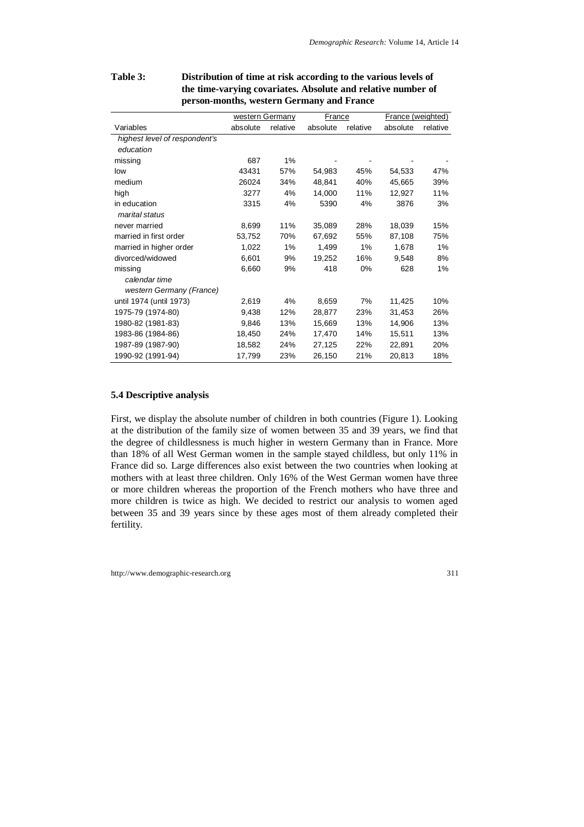|                               | western Germany |          | France   |          | France (weighted) |          |
|-------------------------------|-----------------|----------|----------|----------|-------------------|----------|
| Variables                     | absolute        | relative | absolute | relative | absolute          | relative |
| highest level of respondent's |                 |          |          |          |                   |          |
| education                     |                 |          |          |          |                   |          |
| missing                       | 687             | 1%       |          |          |                   |          |
| low                           | 43431           | 57%      | 54.983   | 45%      | 54,533            | 47%      |
| medium                        | 26024           | 34%      | 48,841   | 40%      | 45,665            | 39%      |
| high                          | 3277            | 4%       | 14,000   | 11%      | 12,927            | 11%      |
| in education                  | 3315            | 4%       | 5390     | 4%       | 3876              | 3%       |
| marital status                |                 |          |          |          |                   |          |
| never married                 | 8,699           | 11%      | 35,089   | 28%      | 18,039            | 15%      |
| married in first order        | 53,752          | 70%      | 67,692   | 55%      | 87,108            | 75%      |
| married in higher order       | 1,022           | 1%       | 1,499    | 1%       | 1,678             | 1%       |
| divorced/widowed              | 6,601           | 9%       | 19,252   | 16%      | 9,548             | 8%       |
| missing                       | 6,660           | 9%       | 418      | 0%       | 628               | 1%       |
| calendar time                 |                 |          |          |          |                   |          |
| western Germany (France)      |                 |          |          |          |                   |          |
| until 1974 (until 1973)       | 2,619           | 4%       | 8,659    | 7%       | 11,425            | 10%      |
| 1975-79 (1974-80)             | 9,438           | 12%      | 28,877   | 23%      | 31,453            | 26%      |
| 1980-82 (1981-83)             | 9,846           | 13%      | 15,669   | 13%      | 14,906            | 13%      |
| 1983-86 (1984-86)             | 18,450          | 24%      | 17,470   | 14%      | 15,511            | 13%      |
| 1987-89 (1987-90)             | 18,582          | 24%      | 27,125   | 22%      | 22,891            | 20%      |
| 1990-92 (1991-94)             | 17,799          | 23%      | 26,150   | 21%      | 20,813            | 18%      |

# **Table 3: Distribution of time at risk according to the various levels of the time-varying covariates. Absolute and relative number of person-months, western Germany and France**

# **5.4 Descriptive analysis**

First, we display the absolute number of children in both countries (Figure 1). Looking at the distribution of the family size of women between 35 and 39 years, we find that the degree of childlessness is much higher in western Germany than in France. More than 18% of all West German women in the sample stayed childless, but only 11% in France did so. Large differences also exist between the two countries when looking at mothers with at least three children. Only 16% of the West German women have three or more children whereas the proportion of the French mothers who have three and more children is twice as high. We decided to restrict our analysis to women aged between 35 and 39 years since by these ages most of them already completed their fertility.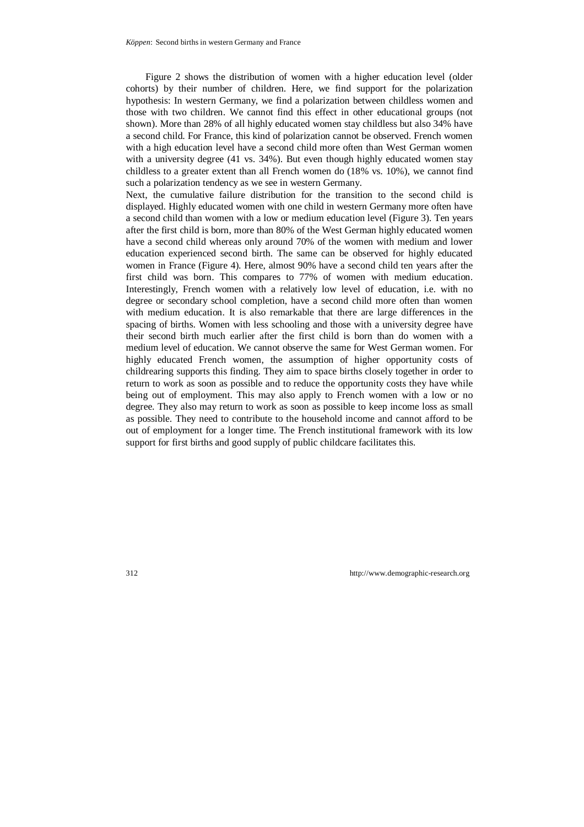Figure 2 shows the distribution of women with a higher education level (older cohorts) by their number of children. Here, we find support for the polarization hypothesis: In western Germany, we find a polarization between childless women and those with two children. We cannot find this effect in other educational groups (not shown). More than 28% of all highly educated women stay childless but also 34% have a second child. For France, this kind of polarization cannot be observed. French women with a high education level have a second child more often than West German women with a university degree (41 vs. 34%). But even though highly educated women stay childless to a greater extent than all French women do (18% vs. 10%), we cannot find such a polarization tendency as we see in western Germany.

Next, the cumulative failure distribution for the transition to the second child is displayed. Highly educated women with one child in western Germany more often have a second child than women with a low or medium education level (Figure 3). Ten years after the first child is born, more than 80% of the West German highly educated women have a second child whereas only around 70% of the women with medium and lower education experienced second birth. The same can be observed for highly educated women in France (Figure 4). Here, almost 90% have a second child ten years after the first child was born. This compares to 77% of women with medium education. Interestingly, French women with a relatively low level of education, i.e. with no degree or secondary school completion, have a second child more often than women with medium education. It is also remarkable that there are large differences in the spacing of births. Women with less schooling and those with a university degree have their second birth much earlier after the first child is born than do women with a medium level of education. We cannot observe the same for West German women. For highly educated French women, the assumption of higher opportunity costs of childrearing supports this finding. They aim to space births closely together in order to return to work as soon as possible and to reduce the opportunity costs they have while being out of employment. This may also apply to French women with a low or no degree. They also may return to work as soon as possible to keep income loss as small as possible. They need to contribute to the household income and cannot afford to be out of employment for a longer time. The French institutional framework with its low support for first births and good supply of public childcare facilitates this.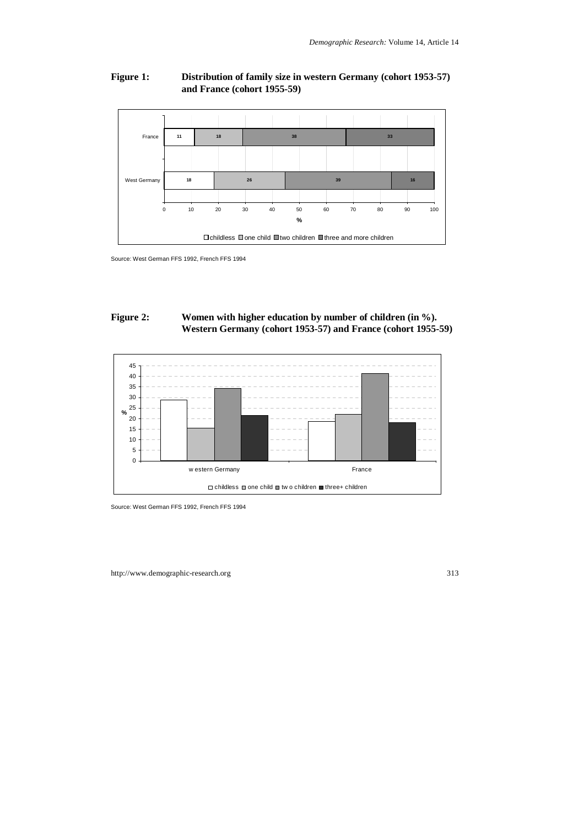# **Figure 1: Distribution of family size in western Germany (cohort 1953-57) and France (cohort 1955-59)**



Source: West German FFS 1992, French FFS 1994

## Figure 2: Women with higher education by number of children (in %). **Western Germany (cohort 1953-57) and France (cohort 1955-59)**



Source: West German FFS 1992, French FFS 1994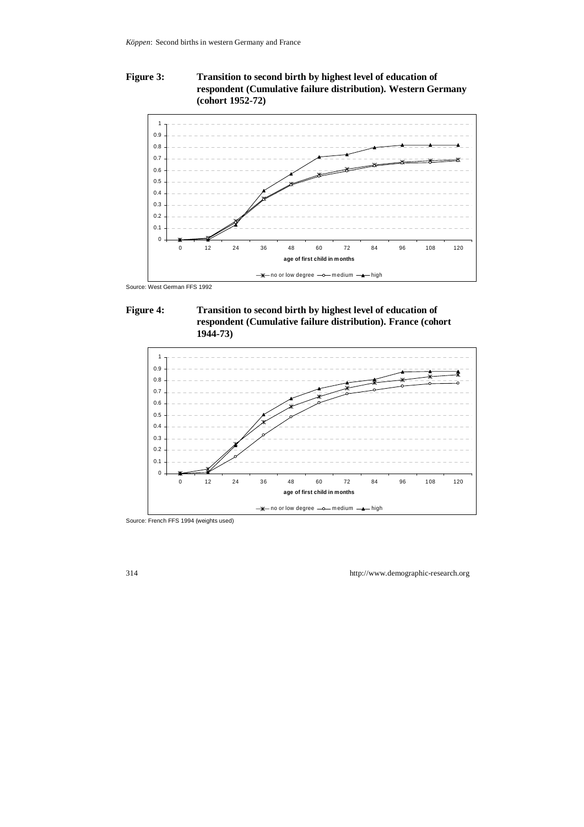# **Figure 3: Transition to second birth by highest level of education of respondent (Cumulative failure distribution). Western Germany (cohort 1952-72)**



Source: West German FFS 1992

## **Figure 4: Transition to second birth by highest level of education of respondent (Cumulative failure distribution). France (cohort 1944-73)**



Source: French FFS 1994 (weights used)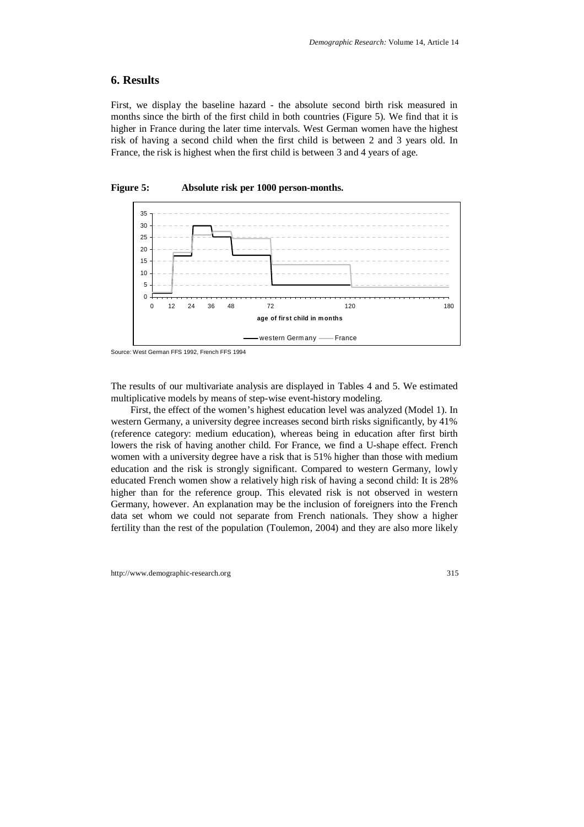# **6. Results**

First, we display the baseline hazard - the absolute second birth risk measured in months since the birth of the first child in both countries (Figure 5). We find that it is higher in France during the later time intervals. West German women have the highest risk of having a second child when the first child is between 2 and 3 years old. In France, the risk is highest when the first child is between 3 and 4 years of age.



**Figure 5: Absolute risk per 1000 person-months.** 

The results of our multivariate analysis are displayed in Tables 4 and 5. We estimated multiplicative models by means of step-wise event-history modeling.

First, the effect of the women's highest education level was analyzed (Model 1). In western Germany, a university degree increases second birth risks significantly, by 41% (reference category: medium education), whereas being in education after first birth lowers the risk of having another child. For France, we find a U-shape effect. French women with a university degree have a risk that is 51% higher than those with medium education and the risk is strongly significant. Compared to western Germany, lowly educated French women show a relatively high risk of having a second child: It is 28% higher than for the reference group. This elevated risk is not observed in western Germany, however. An explanation may be the inclusion of foreigners into the French data set whom we could not separate from French nationals. They show a higher fertility than the rest of the population (Toulemon, 2004) and they are also more likely

Source: West German FFS 1992, French FFS 1994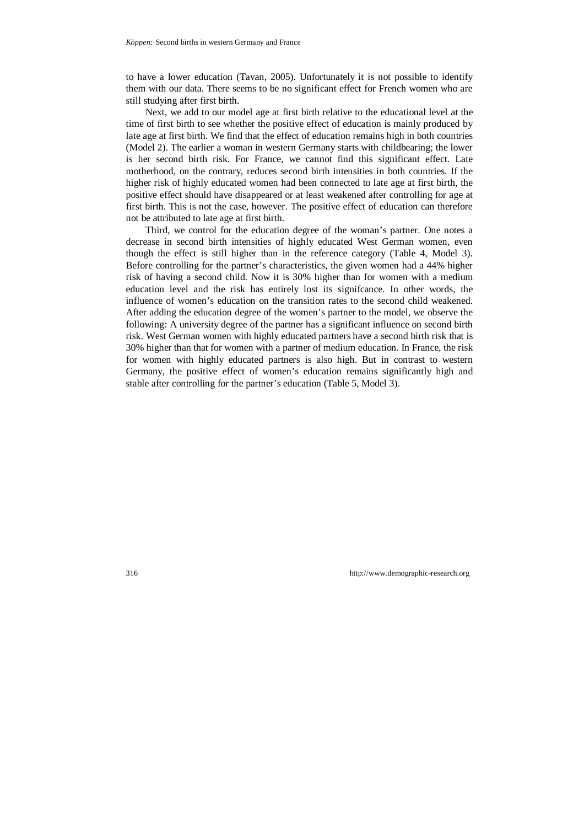to have a lower education (Tavan, 2005). Unfortunately it is not possible to identify them with our data. There seems to be no significant effect for French women who are still studying after first birth.

Next, we add to our model age at first birth relative to the educational level at the time of first birth to see whether the positive effect of education is mainly produced by late age at first birth. We find that the effect of education remains high in both countries (Model 2). The earlier a woman in western Germany starts with childbearing; the lower is her second birth risk. For France, we cannot find this significant effect. Late motherhood, on the contrary, reduces second birth intensities in both countries. If the higher risk of highly educated women had been connected to late age at first birth, the positive effect should have disappeared or at least weakened after controlling for age at first birth. This is not the case, however. The positive effect of education can therefore not be attributed to late age at first birth.

Third, we control for the education degree of the woman's partner. One notes a decrease in second birth intensities of highly educated West German women, even though the effect is still higher than in the reference category (Table 4, Model 3). Before controlling for the partner's characteristics, the given women had a 44% higher risk of having a second child. Now it is 30% higher than for women with a medium education level and the risk has entirely lost its signifcance. In other words, the influence of women's education on the transition rates to the second child weakened. After adding the education degree of the women's partner to the model, we observe the following: A university degree of the partner has a significant influence on second birth risk. West German women with highly educated partners have a second birth risk that is 30% higher than that for women with a partner of medium education. In France, the risk for women with highly educated partners is also high. But in contrast to western Germany, the positive effect of women's education remains significantly high and stable after controlling for the partner's education (Table 5, Model 3).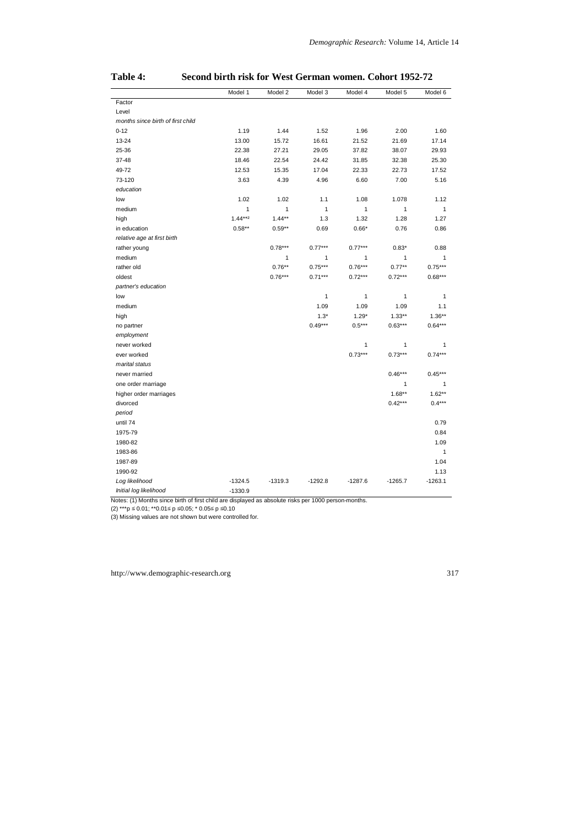|                                   | Model 1    | Model 2   | Model 3   | Model 4      | Model 5      | Model 6      |
|-----------------------------------|------------|-----------|-----------|--------------|--------------|--------------|
| Factor                            |            |           |           |              |              |              |
| Level                             |            |           |           |              |              |              |
| months since birth of first child |            |           |           |              |              |              |
| $0 - 12$                          | 1.19       | 1.44      | 1.52      | 1.96         | 2.00         | 1.60         |
| $13 - 24$                         | 13.00      | 15.72     | 16.61     | 21.52        | 21.69        | 17.14        |
| 25-36                             | 22.38      | 27.21     | 29.05     | 37.82        | 38.07        | 29.93        |
| 37-48                             | 18.46      | 22.54     | 24.42     | 31.85        | 32.38        | 25.30        |
| 49-72                             | 12.53      | 15.35     | 17.04     | 22.33        | 22.73        | 17.52        |
| 73-120                            | 3.63       | 4.39      | 4.96      | 6.60         | 7.00         | 5.16         |
| education                         |            |           |           |              |              |              |
| low                               | 1.02       | 1.02      | 1.1       | 1.08         | 1.078        | 1.12         |
| medium                            | 1          | 1         | 1         | $\mathbf{1}$ | $\mathbf{1}$ | $\mathbf{1}$ |
| high                              | $1.44***2$ | $1.44**$  | 1.3       | 1.32         | 1.28         | 1.27         |
| in education                      | $0.58**$   | $0.59**$  | 0.69      | $0.66*$      | 0.76         | 0.86         |
| relative age at first birth       |            |           |           |              |              |              |
| rather young                      |            | $0.78***$ | $0.77***$ | $0.77***$    | $0.83*$      | 0.88         |
| medium                            |            | 1         | 1         | 1            | 1            | 1            |
| rather old                        |            | $0.76**$  | $0.75***$ | $0.76***$    | $0.77**$     | $0.75***$    |
| oldest                            |            | $0.76***$ | $0.71***$ | $0.72***$    | $0.72***$    | $0.68***$    |
| partner's education               |            |           |           |              |              |              |
| low                               |            |           | 1         | 1            | 1            | $\mathbf{1}$ |
| medium                            |            |           | 1.09      | 1.09         | 1.09         | 1.1          |
| high                              |            |           | $1.3*$    | $1.29*$      | $1.33**$     | $1.36**$     |
| no partner                        |            |           | $0.49***$ | $0.5***$     | $0.63***$    | $0.64***$    |
| employment                        |            |           |           |              |              |              |
| never worked                      |            |           |           | 1            | 1            | 1            |
| ever worked                       |            |           |           | $0.73***$    | $0.73***$    | $0.74***$    |
| marital status                    |            |           |           |              |              |              |
| never married                     |            |           |           |              | $0.46***$    | $0.45***$    |
| one order marriage                |            |           |           |              | 1            | 1            |
| higher order marriages            |            |           |           |              | $1.68**$     | $1.62**$     |
| divorced                          |            |           |           |              | $0.42***$    | $0.4***$     |
| period                            |            |           |           |              |              |              |
| until 74                          |            |           |           |              |              | 0.79         |
| 1975-79                           |            |           |           |              |              | 0.84         |
| 1980-82                           |            |           |           |              |              | 1.09         |
| 1983-86                           |            |           |           |              |              | $\mathbf{1}$ |
| 1987-89                           |            |           |           |              |              | 1.04         |
| 1990-92                           |            |           |           |              |              | 1.13         |
| Log likelihood                    | $-1324.5$  | $-1319.3$ | $-1292.8$ | $-1287.6$    | $-1265.7$    | $-1263.1$    |
| Initial log likelihood            | $-1330.9$  |           |           |              |              |              |

### **Table 4: Second birth risk for West German women. Cohort 1952-72**

Notes: (1) Months since birth of first child are displayed as absolute risks per 1000 person-months.

(2) \*\*\*p ≤ 0.01; \*\*0.01≤ p ≤0.05; \* 0.05≤ p ≤0.10

(3) Missing values are not shown but were controlled for.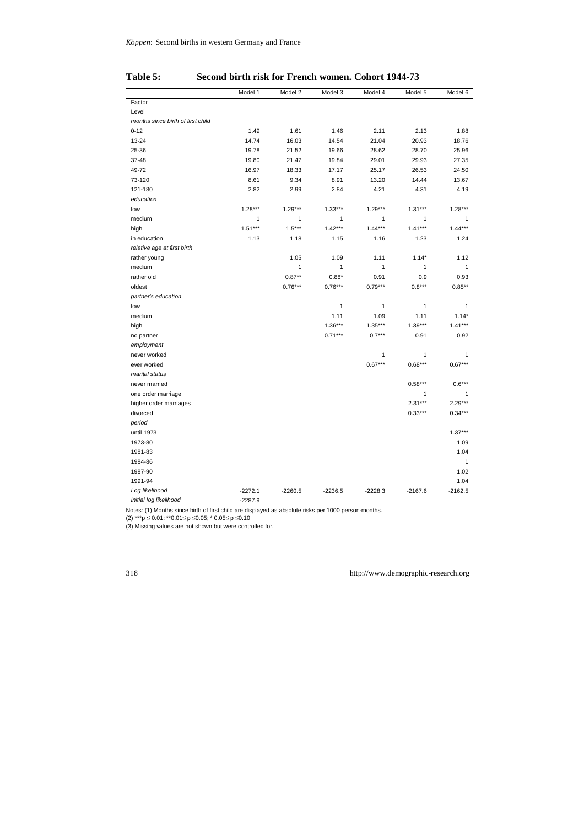|                                   | Model 1      | Model 2      | Model 3      | Model 4      | Model 5   | Model 6      |
|-----------------------------------|--------------|--------------|--------------|--------------|-----------|--------------|
| Factor                            |              |              |              |              |           |              |
| Level                             |              |              |              |              |           |              |
| months since birth of first child |              |              |              |              |           |              |
| $0 - 12$                          | 1.49         | 1.61         | 1.46         | 2.11         | 2.13      | 1.88         |
| $13 - 24$                         | 14.74        | 16.03        | 14.54        | 21.04        | 20.93     | 18.76        |
| 25-36                             | 19.78        | 21.52        | 19.66        | 28.62        | 28.70     | 25.96        |
| 37-48                             | 19.80        | 21.47        | 19.84        | 29.01        | 29.93     | 27.35        |
| 49-72                             | 16.97        | 18.33        | 17.17        | 25.17        | 26.53     | 24.50        |
| 73-120                            | 8.61         | 9.34         | 8.91         | 13.20        | 14.44     | 13.67        |
| 121-180                           | 2.82         | 2.99         | 2.84         | 4.21         | 4.31      | 4.19         |
| education                         |              |              |              |              |           |              |
| low                               | $1.28***$    | $1.29***$    | $1.33***$    | $1.29***$    | $1.31***$ | $1.28***$    |
| medium                            | $\mathbf{1}$ | $\mathbf{1}$ | $\mathbf{1}$ | $\mathbf{1}$ | 1         | $\mathbf{1}$ |
| high                              | $1.51***$    | $1.5***$     | $1.42***$    | $1.44***$    | $1.41***$ | $1.44***$    |
| in education                      | 1.13         | 1.18         | 1.15         | 1.16         | 1.23      | 1.24         |
| relative age at first birth       |              |              |              |              |           |              |
| rather young                      |              | 1.05         | 1.09         | 1.11         | $1.14*$   | 1.12         |
| medium                            |              | $\mathbf{1}$ | $\mathbf{1}$ | $\mathbf{1}$ | 1         | $\mathbf{1}$ |
| rather old                        |              | $0.87**$     | $0.88*$      | 0.91         | 0.9       | 0.93         |
| oldest                            |              | $0.76***$    | $0.76***$    | $0.79***$    | $0.8***$  | $0.85***$    |
| partner's education               |              |              |              |              |           |              |
| low                               |              |              | $\mathbf{1}$ | 1            | 1         | $\mathbf{1}$ |
| medium                            |              |              | 1.11         | 1.09         | 1.11      | $1.14*$      |
| high                              |              |              | $1.36***$    | $1.35***$    | $1.39***$ | $1.41***$    |
| no partner                        |              |              | $0.71***$    | $0.7***$     | 0.91      | 0.92         |
| employment                        |              |              |              |              |           |              |
| never worked                      |              |              |              | $\mathbf{1}$ | 1         | 1            |
| ever worked                       |              |              |              | $0.67***$    | $0.68***$ | $0.67***$    |
| marital status                    |              |              |              |              |           |              |
| never married                     |              |              |              |              | $0.58***$ | $0.6***$     |
| one order marriage                |              |              |              |              | 1         | 1            |
| higher order marriages            |              |              |              |              | $2.31***$ | $2.29***$    |
| divorced                          |              |              |              |              | $0.33***$ | $0.34***$    |
| period                            |              |              |              |              |           |              |
| until 1973                        |              |              |              |              |           | $1.37***$    |
| 1973-80                           |              |              |              |              |           | 1.09         |
| 1981-83                           |              |              |              |              |           | 1.04         |
| 1984-86                           |              |              |              |              |           | $\mathbf{1}$ |
| 1987-90                           |              |              |              |              |           | 1.02         |
| 1991-94                           |              |              |              |              |           | 1.04         |
| Log likelihood                    | $-2272.1$    | $-2260.5$    | $-2236.5$    | $-2228.3$    | $-2167.6$ | $-2162.5$    |
| Initial log likelihood            | $-2287.9$    |              |              |              |           |              |

## **Table 5: Second birth risk for French women. Cohort 1944-73**

Notes: (1) Months since birth of first child are displayed as absolute risks per 1000 person-months.

(2) \*\*\*p ≤ 0.01; \*\*0.01≤ p ≤0.05; \* 0.05≤ p ≤0.10

(3) Missing values are not shown but were controlled for.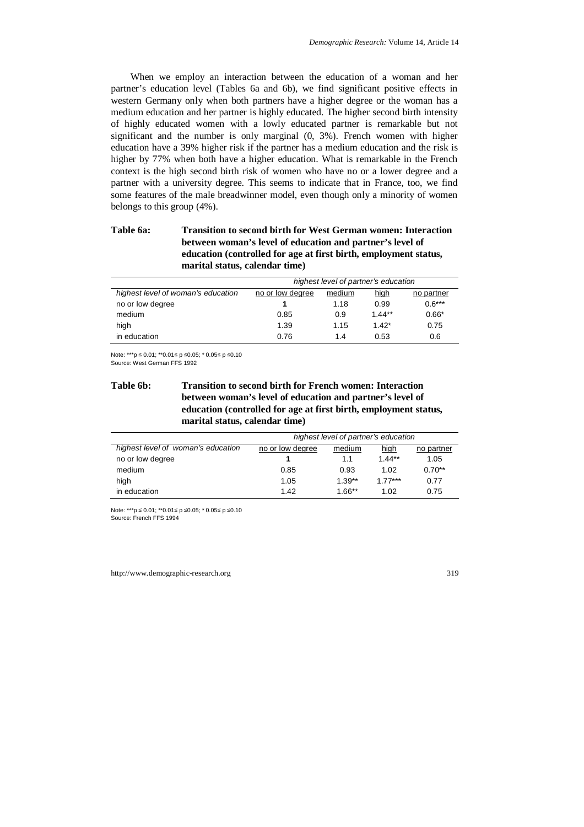When we employ an interaction between the education of a woman and her partner's education level (Tables 6a and 6b), we find significant positive effects in western Germany only when both partners have a higher degree or the woman has a medium education and her partner is highly educated. The higher second birth intensity of highly educated women with a lowly educated partner is remarkable but not significant and the number is only marginal (0, 3%). French women with higher education have a 39% higher risk if the partner has a medium education and the risk is higher by 77% when both have a higher education. What is remarkable in the French context is the high second birth risk of women who have no or a lower degree and a partner with a university degree. This seems to indicate that in France, too, we find some features of the male breadwinner model, even though only a minority of women belongs to this group (4%).

# **Table 6a: Transition to second birth for West German women: Interaction between woman's level of education and partner's level of education (controlled for age at first birth, employment status, marital status, calendar time)**

|                                    | highest level of partner's education |        |             |            |  |
|------------------------------------|--------------------------------------|--------|-------------|------------|--|
| highest level of woman's education | no or low degree                     | medium | <u>high</u> | no partner |  |
| no or low degree                   |                                      | 1.18   | 0.99        | $0.6***$   |  |
| medium                             | 0.85                                 | 0.9    | $1.44**$    | $0.66*$    |  |
| high                               | 1.39                                 | 1.15   | $1.42*$     | 0.75       |  |
| in education                       | 0.76                                 | 1.4    | 0.53        | 0.6        |  |

Note: \*\*\*p ≤ 0.01; \*\*0.01≤ p ≤0.05; \* 0.05≤ p ≤0.10 Source: West German FFS 1992

# **Table 6b: Transition to second birth for French women: Interaction between woman's level of education and partner's level of education (controlled for age at first birth, employment status, marital status, calendar time)**

|                                    | highest level of partner's education |          |           |            |
|------------------------------------|--------------------------------------|----------|-----------|------------|
| highest level of woman's education | no or low degree                     | medium   | high      | no partner |
| no or low degree                   |                                      | 1.1      | $1.44**$  | 1.05       |
| medium                             | 0.85                                 | 0.93     | 1.02      | $0.70**$   |
| high                               | 1.05                                 | $1.39**$ | $1.77***$ | 0.77       |
| in education                       | 1.42                                 | $1.66**$ | 1.02      | 0.75       |

Note: \*\*\*p ≤ 0.01; \*\*0.01≤ p ≤0.05; \* 0.05≤ p ≤0.10 Source: French FFS 1994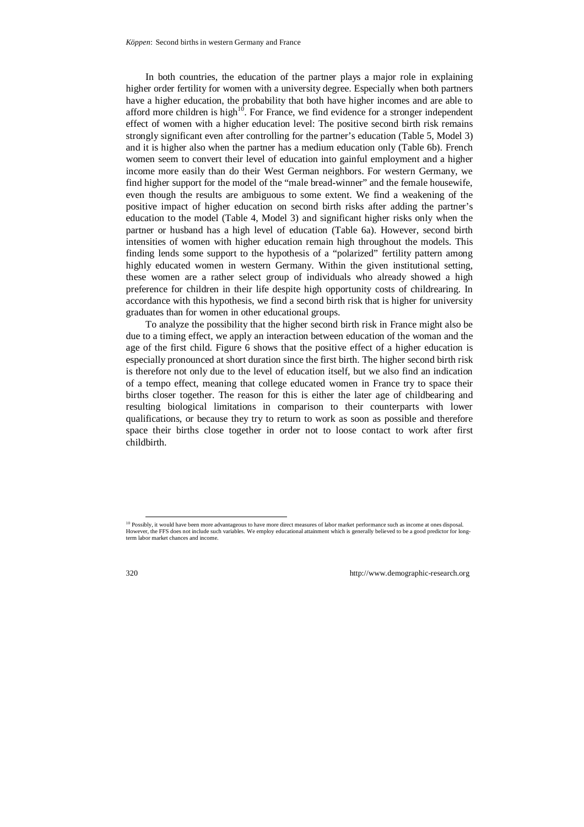In both countries, the education of the partner plays a major role in explaining higher order fertility for women with a university degree. Especially when both partners have a higher education, the probability that both have higher incomes and are able to afford more children is high $10^{\circ}$ . For France, we find evidence for a stronger independent effect of women with a higher education level: The positive second birth risk remains strongly significant even after controlling for the partner's education (Table 5, Model 3) and it is higher also when the partner has a medium education only (Table 6b). French women seem to convert their level of education into gainful employment and a higher income more easily than do their West German neighbors. For western Germany, we find higher support for the model of the "male bread-winner" and the female housewife, even though the results are ambiguous to some extent. We find a weakening of the positive impact of higher education on second birth risks after adding the partner's education to the model (Table 4, Model 3) and significant higher risks only when the partner or husband has a high level of education (Table 6a). However, second birth intensities of women with higher education remain high throughout the models. This finding lends some support to the hypothesis of a "polarized" fertility pattern among highly educated women in western Germany. Within the given institutional setting, these women are a rather select group of individuals who already showed a high preference for children in their life despite high opportunity costs of childrearing. In accordance with this hypothesis, we find a second birth risk that is higher for university graduates than for women in other educational groups.

To analyze the possibility that the higher second birth risk in France might also be due to a timing effect, we apply an interaction between education of the woman and the age of the first child. Figure 6 shows that the positive effect of a higher education is especially pronounced at short duration since the first birth. The higher second birth risk is therefore not only due to the level of education itself, but we also find an indication of a tempo effect, meaning that college educated women in France try to space their births closer together. The reason for this is either the later age of childbearing and resulting biological limitations in comparison to their counterparts with lower qualifications, or because they try to return to work as soon as possible and therefore space their births close together in order not to loose contact to work after first childbirth.

<sup>&</sup>lt;sup>10</sup> Possibly, it would have been more advantageous to have more direct measures of labor market performance such as income at ones disposal. However, the FFS does not include such variables. We employ educational attainment which is generally believed to be a good predictor for longterm labor market chances and income.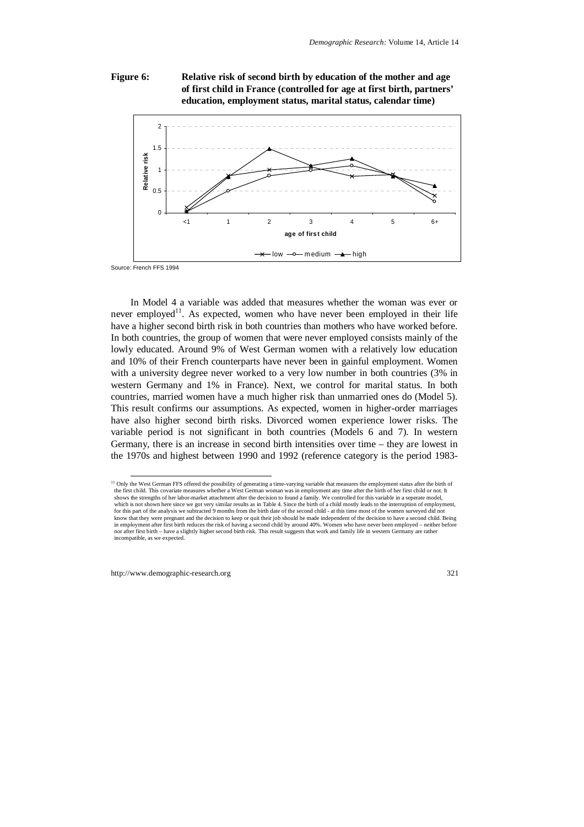### **Figure 6: Relative risk of second birth by education of the mother and age of first child in France (controlled for age at first birth, partners' education, employment status, marital status, calendar time)**



Source: French FFS 1994

In Model 4 a variable was added that measures whether the woman was ever or never employed<sup>11</sup>. As expected, women who have never been employed in their life have a higher second birth risk in both countries than mothers who have worked before. In both countries, the group of women that were never employed consists mainly of the lowly educated. Around 9% of West German women with a relatively low education and 10% of their French counterparts have never been in gainful employment. Women with a university degree never worked to a very low number in both countries (3% in western Germany and 1% in France). Next, we control for marital status. In both countries, married women have a much higher risk than unmarried ones do (Model 5). This result confirms our assumptions. As expected, women in higher-order marriages have also higher second birth risks. Divorced women experience lower risks. The variable period is not significant in both countries (Models 6 and 7). In western Germany, there is an increase in second birth intensities over time – they are lowest in the 1970s and highest between 1990 and 1992 (reference category is the period 1983-

<sup>&</sup>lt;sup>11</sup> Only the West German FFS offered the possibility of generating a time-varying variable that measures the employment status after the birth of the first child. This covariate measures whether a West German woman was in employment any time after the birth of her first child or not. It shows the strengths of her labor-market attachment after the decision to found a family. We controlled for this variable in a seperate model, which is not shown here since we got very similar results as in Table 4. Since the birth of a child mostly leads to the interruption of employment, for this part of the analysis we subtracted 9 months from the birth date of the second child - at this time most of the women surveyed did not know that they were pregnant and the decision to keep or quit their job should be made independent of the decision to have a second child. Being in employment after first birth reduces the risk of having a second child by around 40%. Women who have never been employed – neither before nor after first birth – have a slightly higher second birth risk. This result suggests that work and family life in western Germany are rather incompatible, as we expected.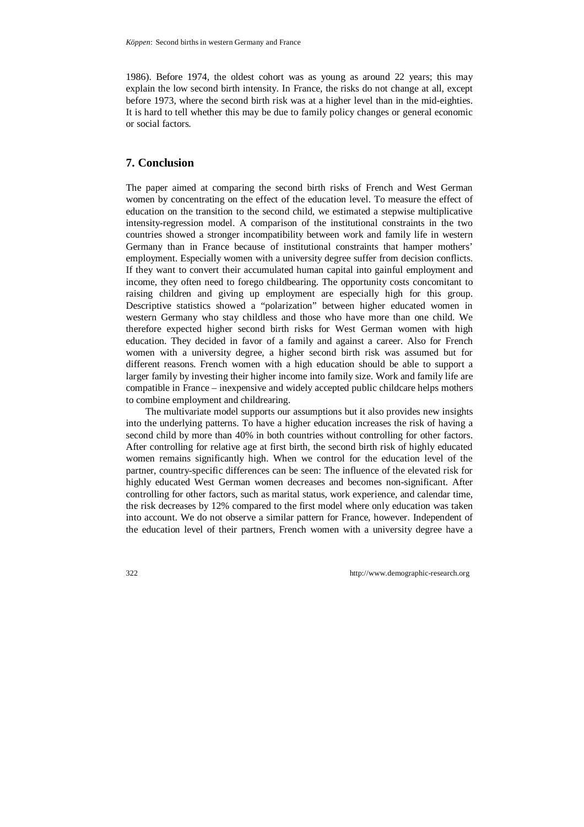1986). Before 1974, the oldest cohort was as young as around 22 years; this may explain the low second birth intensity. In France, the risks do not change at all, except before 1973, where the second birth risk was at a higher level than in the mid-eighties. It is hard to tell whether this may be due to family policy changes or general economic or social factors.

# **7. Conclusion**

The paper aimed at comparing the second birth risks of French and West German women by concentrating on the effect of the education level. To measure the effect of education on the transition to the second child, we estimated a stepwise multiplicative intensity-regression model. A comparison of the institutional constraints in the two countries showed a stronger incompatibility between work and family life in western Germany than in France because of institutional constraints that hamper mothers' employment. Especially women with a university degree suffer from decision conflicts. If they want to convert their accumulated human capital into gainful employment and income, they often need to forego childbearing. The opportunity costs concomitant to raising children and giving up employment are especially high for this group. Descriptive statistics showed a "polarization" between higher educated women in western Germany who stay childless and those who have more than one child. We therefore expected higher second birth risks for West German women with high education. They decided in favor of a family and against a career. Also for French women with a university degree, a higher second birth risk was assumed but for different reasons. French women with a high education should be able to support a larger family by investing their higher income into family size. Work and family life are compatible in France – inexpensive and widely accepted public childcare helps mothers to combine employment and childrearing.

The multivariate model supports our assumptions but it also provides new insights into the underlying patterns. To have a higher education increases the risk of having a second child by more than 40% in both countries without controlling for other factors. After controlling for relative age at first birth, the second birth risk of highly educated women remains significantly high. When we control for the education level of the partner, country-specific differences can be seen: The influence of the elevated risk for highly educated West German women decreases and becomes non-significant. After controlling for other factors, such as marital status, work experience, and calendar time, the risk decreases by 12% compared to the first model where only education was taken into account. We do not observe a similar pattern for France, however. Independent of the education level of their partners, French women with a university degree have a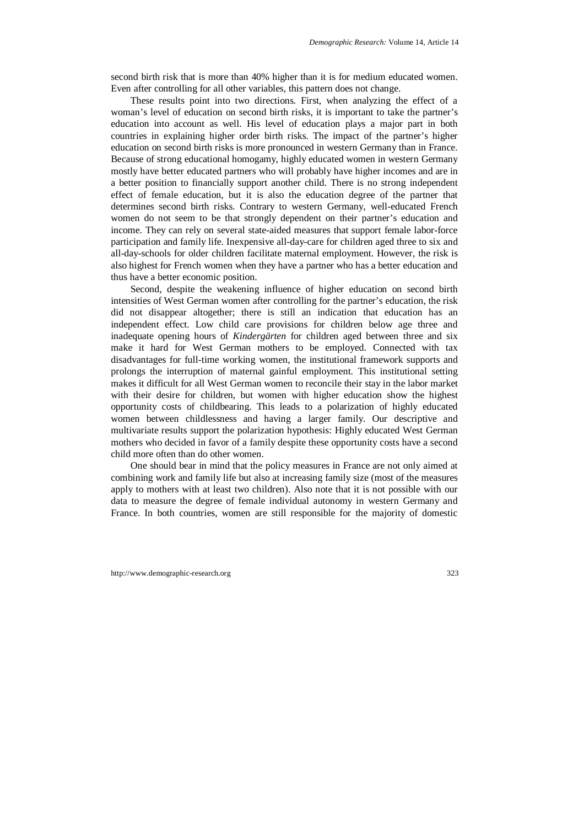second birth risk that is more than 40% higher than it is for medium educated women. Even after controlling for all other variables, this pattern does not change.

These results point into two directions. First, when analyzing the effect of a woman's level of education on second birth risks, it is important to take the partner's education into account as well. His level of education plays a major part in both countries in explaining higher order birth risks. The impact of the partner's higher education on second birth risks is more pronounced in western Germany than in France. Because of strong educational homogamy, highly educated women in western Germany mostly have better educated partners who will probably have higher incomes and are in a better position to financially support another child. There is no strong independent effect of female education, but it is also the education degree of the partner that determines second birth risks. Contrary to western Germany, well-educated French women do not seem to be that strongly dependent on their partner's education and income. They can rely on several state-aided measures that support female labor-force participation and family life. Inexpensive all-day-care for children aged three to six and all-day-schools for older children facilitate maternal employment. However, the risk is also highest for French women when they have a partner who has a better education and thus have a better economic position.

Second, despite the weakening influence of higher education on second birth intensities of West German women after controlling for the partner's education, the risk did not disappear altogether; there is still an indication that education has an independent effect. Low child care provisions for children below age three and inadequate opening hours of *Kindergärten* for children aged between three and six make it hard for West German mothers to be employed. Connected with tax disadvantages for full-time working women, the institutional framework supports and prolongs the interruption of maternal gainful employment. This institutional setting makes it difficult for all West German women to reconcile their stay in the labor market with their desire for children, but women with higher education show the highest opportunity costs of childbearing. This leads to a polarization of highly educated women between childlessness and having a larger family. Our descriptive and multivariate results support the polarization hypothesis: Highly educated West German mothers who decided in favor of a family despite these opportunity costs have a second child more often than do other women.

One should bear in mind that the policy measures in France are not only aimed at combining work and family life but also at increasing family size (most of the measures apply to mothers with at least two children). Also note that it is not possible with our data to measure the degree of female individual autonomy in western Germany and France. In both countries, women are still responsible for the majority of domestic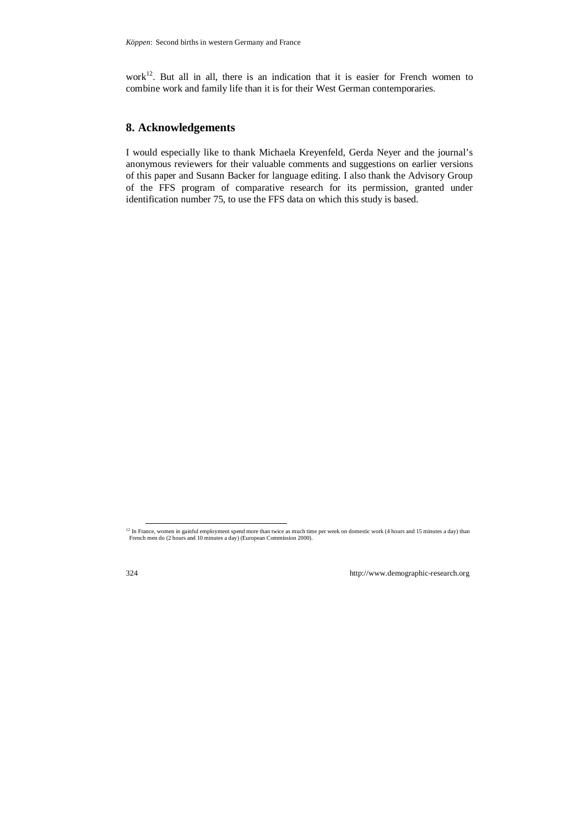work $12$ . But all in all, there is an indication that it is easier for French women to combine work and family life than it is for their West German contemporaries.

# **8. Acknowledgements**

I would especially like to thank Michaela Kreyenfeld, Gerda Neyer and the journal's anonymous reviewers for their valuable comments and suggestions on earlier versions of this paper and Susann Backer for language editing. I also thank the Advisory Group of the FFS program of comparative research for its permission, granted under identification number 75, to use the FFS data on which this study is based.

 $12$  In France, women in gainful employment spend more than twice as much time per week on domestic work (4 hours and 15 minutes a day) than French men do (2 hours and 10 minutes a day) (European Commission 2000).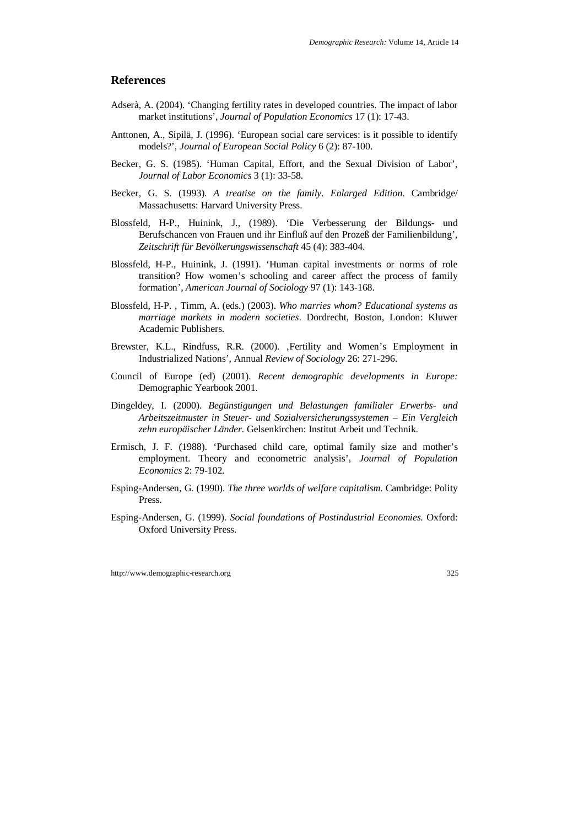## **References**

- Adserà, A. (2004). 'Changing fertility rates in developed countries. The impact of labor market institutions', *Journal of Population Economics* 17 (1): 17-43.
- Anttonen, A., Sipilä, J. (1996). 'European social care services: is it possible to identify models?', *Journal of European Social Policy* 6 (2): 87-100.
- Becker, G. S. (1985). 'Human Capital, Effort, and the Sexual Division of Labor', *Journal of Labor Economics* 3 (1): 33-58.
- Becker, G. S. (1993). *A treatise on the family. Enlarged Edition*. Cambridge/ Massachusetts: Harvard University Press.
- Blossfeld, H-P., Huinink, J., (1989). 'Die Verbesserung der Bildungs- und Berufschancen von Frauen und ihr Einfluß auf den Prozeß der Familienbildung', *Zeitschrift für Bevölkerungswissenschaft* 45 (4): 383-404.
- Blossfeld, H-P., Huinink, J. (1991). 'Human capital investments or norms of role transition? How women's schooling and career affect the process of family formation', *American Journal of Sociology* 97 (1): 143-168.
- Blossfeld, H-P. , Timm, A. (eds.) (2003). *Who marries whom? Educational systems as marriage markets in modern societies*. Dordrecht, Boston, London: Kluwer Academic Publishers.
- Brewster, K.L., Rindfuss, R.R. (2000). , Fertility and Women's Employment in Industrialized Nations', Annual *Review of Sociology* 26: 271-296.
- Council of Europe (ed) (2001). *Recent demographic developments in Europe:*  Demographic Yearbook 2001.
- Dingeldey, I. (2000). *Begünstigungen und Belastungen familialer Erwerbs- und Arbeitszeitmuster in Steuer- und Sozialversicherungssystemen – Ein Vergleich zehn europäischer Länder.* Gelsenkirchen: Institut Arbeit und Technik.
- Ermisch, J. F. (1988). 'Purchased child care, optimal family size and mother's employment. Theory and econometric analysis', *Journal of Population Economics* 2: 79-102.
- Esping-Andersen, G. (1990). *The three worlds of welfare capitalism*. Cambridge: Polity Press.
- Esping-Andersen, G. (1999). *Social foundations of Postindustrial Economies.* Oxford: Oxford University Press.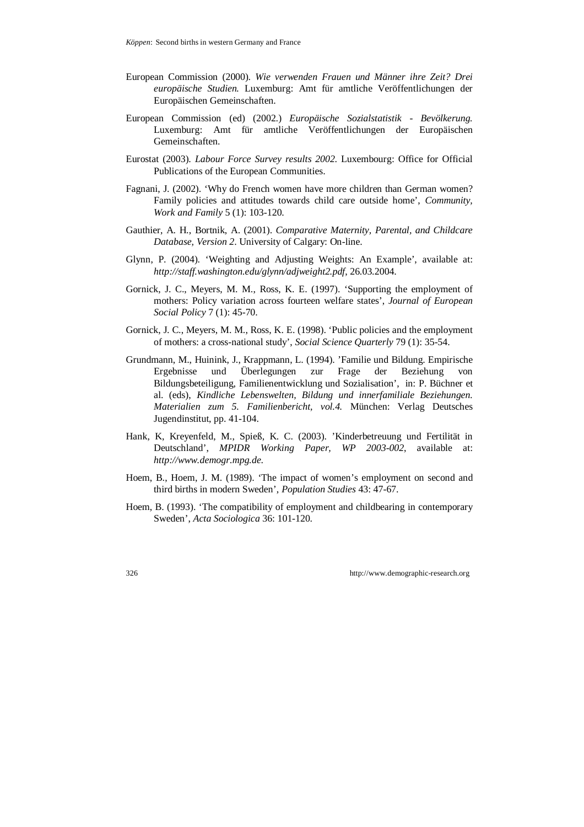- European Commission (2000). *Wie verwenden Frauen und Männer ihre Zeit? Drei europäische Studien.* Luxemburg: Amt für amtliche Veröffentlichungen der Europäischen Gemeinschaften.
- European Commission (ed) (2002.) *Europäische Sozialstatistik Bevölkerung.* Luxemburg: Amt für amtliche Veröffentlichungen der Europäischen Gemeinschaften.
- Eurostat (2003). *Labour Force Survey results 2002*. Luxembourg: Office for Official Publications of the European Communities.
- Fagnani, J. (2002). 'Why do French women have more children than German women? Family policies and attitudes towards child care outside home', *Community, Work and Family* 5 (1): 103-120.
- Gauthier, A. H., Bortnik, A. (2001). *Comparative Maternity, Parental, and Childcare Database, Version 2*. University of Calgary: On-line.
- Glynn, P. (2004). 'Weighting and Adjusting Weights: An Example', available at: *http://staff.washington.edu/glynn/adjweight2.pdf*, 26.03.2004.
- Gornick, J. C., Meyers, M. M., Ross, K. E. (1997). 'Supporting the employment of mothers: Policy variation across fourteen welfare states', *Journal of European Social Policy* 7 (1): 45-70.
- Gornick, J. C., Meyers, M. M., Ross, K. E. (1998). 'Public policies and the employment of mothers: a cross-national study', *Social Science Quarterly* 79 (1): 35-54.
- Grundmann, M., Huinink, J., Krappmann, L. (1994). 'Familie und Bildung. Empirische Ergebnisse und Überlegungen zur Frage der Beziehung von Bildungsbeteiligung, Familienentwicklung und Sozialisation', in: P. Büchner et al. (eds), *Kindliche Lebenswelten, Bildung und innerfamiliale Beziehungen. Materialien zum 5. Familienbericht, vol.4.* München: Verlag Deutsches Jugendinstitut, pp. 41-104.
- Hank, K, Kreyenfeld, M., Spieß, K. C. (2003). 'Kinderbetreuung und Fertilität in Deutschland', *MPIDR Working Paper, WP 2003-002*, available at: *http://www.demogr.mpg.de*.
- Hoem, B., Hoem, J. M. (1989). 'The impact of women's employment on second and third births in modern Sweden', *Population Studies* 43: 47-67.
- Hoem, B. (1993). 'The compatibility of employment and childbearing in contemporary Sweden', *Acta Sociologica* 36: 101-120.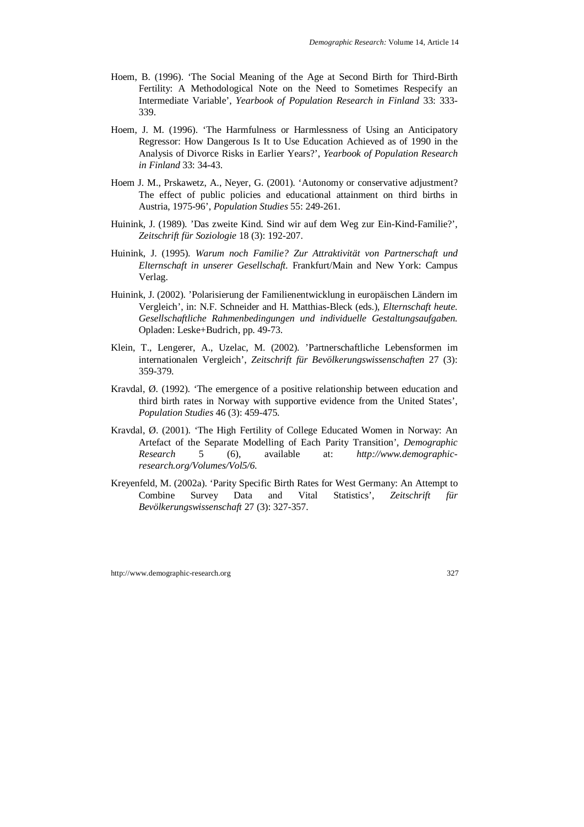- Hoem, B. (1996). 'The Social Meaning of the Age at Second Birth for Third-Birth Fertility: A Methodological Note on the Need to Sometimes Respecify an Intermediate Variable', *Yearbook of Population Research in Finland* 33: 333- 339.
- Hoem, J. M. (1996). 'The Harmfulness or Harmlessness of Using an Anticipatory Regressor: How Dangerous Is It to Use Education Achieved as of 1990 in the Analysis of Divorce Risks in Earlier Years?', *Yearbook of Population Research in Finland* 33: 34-43.
- Hoem J. M., Prskawetz, A., Neyer, G. (2001). 'Autonomy or conservative adjustment? The effect of public policies and educational attainment on third births in Austria, 1975-96', *Population Studies* 55: 249-261.
- Huinink, J. (1989). 'Das zweite Kind. Sind wir auf dem Weg zur Ein-Kind-Familie?', *Zeitschrift für Soziologie* 18 (3): 192-207.
- Huinink, J. (1995). *Warum noch Familie? Zur Attraktivität von Partnerschaft und Elternschaft in unserer Gesellschaft.* Frankfurt/Main and New York: Campus Verlag.
- Huinink, J. (2002). 'Polarisierung der Familienentwicklung in europäischen Ländern im Vergleich', in: N.F. Schneider and H. Matthias-Bleck (eds.), *Elternschaft heute. Gesellschaftliche Rahmenbedingungen und individuelle Gestaltungsaufgaben.* Opladen: Leske+Budrich, pp. 49-73.
- Klein, T., Lengerer, A., Uzelac, M. (2002). 'Partnerschaftliche Lebensformen im internationalen Vergleich', *Zeitschrift für Bevölkerungswissenschaften* 27 (3): 359-379.
- Kravdal, Ø. (1992). 'The emergence of a positive relationship between education and third birth rates in Norway with supportive evidence from the United States', *Population Studies* 46 (3): 459-475.
- Kravdal, Ø. (2001). 'The High Fertility of College Educated Women in Norway: An Artefact of the Separate Modelling of Each Parity Transition', *Demographic Research* 5 (6), available at: *http://www.demographicresearch.org/Volumes/Vol5/6*.
- Kreyenfeld, M. (2002a). 'Parity Specific Birth Rates for West Germany: An Attempt to Combine Survey Data and Vital Statistics', *Zeitschrift für Bevölkerungswissenschaft* 27 (3): 327-357.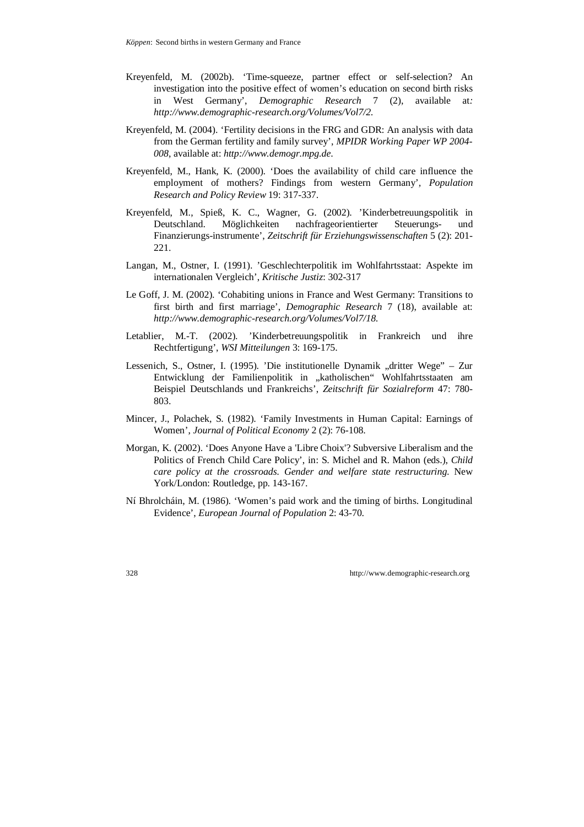- Kreyenfeld, M. (2002b). 'Time-squeeze, partner effect or self-selection? An investigation into the positive effect of women's education on second birth risks in West Germany', *Demographic Research* 7 (2), available at*: http://www.demographic-research.org/Volumes/Vol7/2*.
- Kreyenfeld, M. (2004). 'Fertility decisions in the FRG and GDR: An analysis with data from the German fertility and family survey', *MPIDR Working Paper WP 2004- 008*, available at: *http://www.demogr.mpg.de*.
- Kreyenfeld, M., Hank, K. (2000). 'Does the availability of child care influence the employment of mothers? Findings from western Germany'*, Population Research and Policy Review* 19: 317-337.
- Kreyenfeld, M., Spieß, K. C., Wagner, G. (2002). 'Kinderbetreuungspolitik in Deutschland. Möglichkeiten nachfrageorientierter Steuerungs- und Finanzierungs-instrumente', *Zeitschrift für Erziehungswissenschaften* 5 (2): 201- 221.
- Langan, M., Ostner, I. (1991). 'Geschlechterpolitik im Wohlfahrtsstaat: Aspekte im internationalen Vergleich', *Kritische Justiz*: 302-317
- Le Goff, J. M. (2002). 'Cohabiting unions in France and West Germany: Transitions to first birth and first marriage', *Demographic Research* 7 (18), available at: *http://www.demographic-research.org/Volumes/Vol7/18*.
- Letablier, M.-T. (2002). 'Kinderbetreuungspolitik in Frankreich und ihre Rechtfertigung', *WSI Mitteilungen* 3: 169-175.
- Lessenich, S., Ostner, I. (1995). 'Die institutionelle Dynamik "dritter Wege" Zur Entwicklung der Familienpolitik in "katholischen" Wohlfahrtsstaaten am Beispiel Deutschlands und Frankreichs', *Zeitschrift für Sozialreform* 47: 780- 803.
- Mincer, J., Polachek, S. (1982). 'Family Investments in Human Capital: Earnings of Women', *Journal of Political Economy* 2 (2): 76-108.
- Morgan, K. (2002). 'Does Anyone Have a 'Libre Choix'? Subversive Liberalism and the Politics of French Child Care Policy', in: S. Michel and R. Mahon (eds.), *Child care policy at the crossroads. Gender and welfare state restructuring*. New York/London: Routledge, pp. 143-167.
- Ní Bhrolcháin, M. (1986). 'Women's paid work and the timing of births. Longitudinal Evidence', *European Journal of Population* 2: 43-70.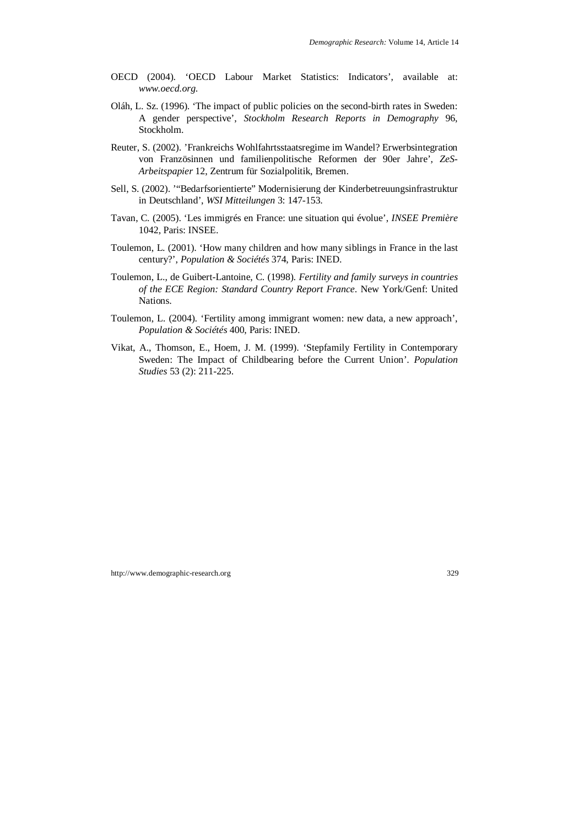- OECD (2004). 'OECD Labour Market Statistics: Indicators', available at: *www.oecd.org*.
- Oláh, L. Sz. (1996). 'The impact of public policies on the second-birth rates in Sweden: A gender perspective', *Stockholm Research Reports in Demography* 96, Stockholm.
- Reuter, S. (2002). 'Frankreichs Wohlfahrtsstaatsregime im Wandel? Erwerbsintegration von Französinnen und familienpolitische Reformen der 90er Jahre', *ZeS-Arbeitspapier* 12, Zentrum für Sozialpolitik, Bremen.
- Sell, S. (2002). '"Bedarfsorientierte" Modernisierung der Kinderbetreuungsinfrastruktur in Deutschland', *WSI Mitteilungen* 3: 147-153.
- Tavan, C. (2005). 'Les immigrés en France: une situation qui évolue', *INSEE Première* 1042, Paris: INSEE.
- Toulemon, L. (2001). 'How many children and how many siblings in France in the last century?', *Population & Sociétés* 374, Paris: INED.
- Toulemon, L., de Guibert-Lantoine, C. (1998). *Fertility and family surveys in countries of the ECE Region: Standard Country Report France*. New York/Genf: United Nations.
- Toulemon, L. (2004). 'Fertility among immigrant women: new data, a new approach', *Population & Sociétés* 400, Paris: INED.
- Vikat, A., Thomson, E., Hoem, J. M. (1999). 'Stepfamily Fertility in Contemporary Sweden: The Impact of Childbearing before the Current Union'. *Population Studies* 53 (2): 211-225.